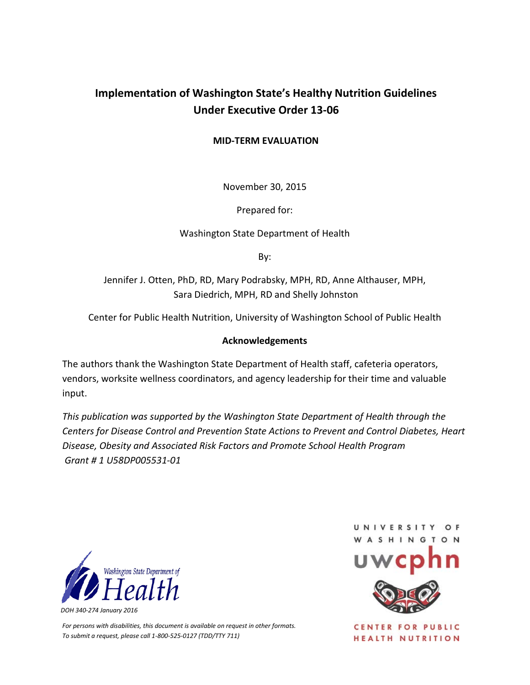## **Implementation of Washington State's Healthy Nutrition Guidelines Under Executive Order 13-06**

#### **MID-TERM EVALUATION**

November 30, 2015

Prepared for:

Washington State Department of Health

By:

Jennifer J. Otten, PhD, RD, Mary Podrabsky, MPH, RD, Anne Althauser, MPH, Sara Diedrich, MPH, RD and Shelly Johnston

Center for Public Health Nutrition, University of Washington School of Public Health

#### **Acknowledgements**

The authors thank the Washington State Department of Health staff, cafeteria operators, vendors, worksite wellness coordinators, and agency leadership for their time and valuable input.

*This publication was supported by the Washington State Department of Health through the Centers for Disease Control and Prevention State Actions to Prevent and Control Diabetes, Heart Disease, Obesity and Associated Risk Factors and Promote School Health Program Grant # 1 U58DP005531-01*



*For persons with disabilities, this document is available on request in other formats. To submit a request, please call 1-800-525-0127 (TDD/TTY 711)*



**CENTER FOR PUBLIC** HEALTH NUTRITION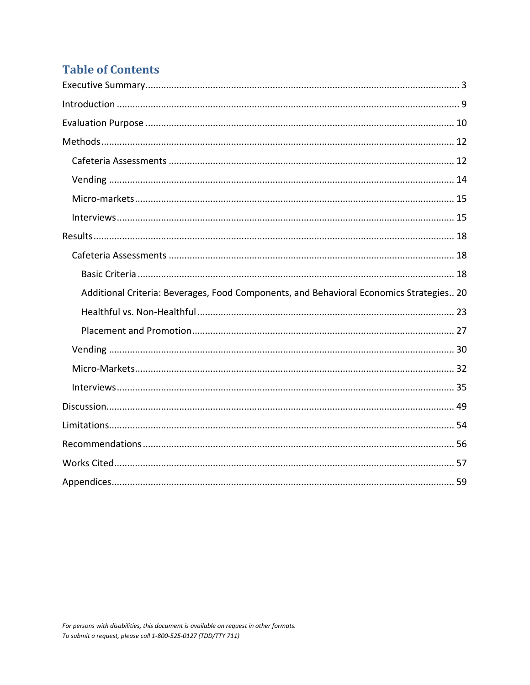# **Table of Contents**

| Additional Criteria: Beverages, Food Components, and Behavioral Economics Strategies 20 |
|-----------------------------------------------------------------------------------------|
|                                                                                         |
|                                                                                         |
|                                                                                         |
|                                                                                         |
|                                                                                         |
|                                                                                         |
|                                                                                         |
|                                                                                         |
|                                                                                         |
|                                                                                         |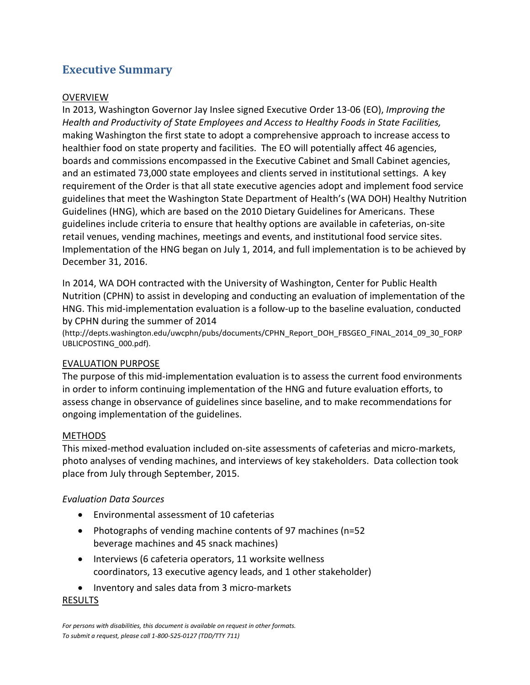## <span id="page-2-0"></span>**Executive Summary**

#### **OVERVIEW**

In 2013, Washington Governor Jay Inslee signed Executive Order 13-06 (EO), *Improving the Health and Productivity of State Employees and Access to Healthy Foods in State Facilities,*  making Washington the first state to adopt a comprehensive approach to increase access to healthier food on state property and facilities. The EO will potentially affect 46 agencies, boards and commissions encompassed in the Executive Cabinet and Small Cabinet agencies, and an estimated 73,000 state employees and clients served in institutional settings. A key requirement of the Order is that all state executive agencies adopt and implement food service guidelines that meet the Washington State Department of Health's (WA DOH) Healthy Nutrition Guidelines (HNG), which are based on the 2010 Dietary Guidelines for Americans. These guidelines include criteria to ensure that healthy options are available in cafeterias, on-site retail venues, vending machines, meetings and events, and institutional food service sites. Implementation of the HNG began on July 1, 2014, and full implementation is to be achieved by December 31, 2016.

In 2014, WA DOH contracted with the University of Washington, Center for Public Health Nutrition (CPHN) to assist in developing and conducting an evaluation of implementation of the HNG. This mid-implementation evaluation is a follow-up to the baseline evaluation, conducted by CPHN during the summer of 2014

(http://depts.washington.edu/uwcphn/pubs/documents/CPHN\_Report\_DOH\_FBSGEO\_FINAL\_2014\_09\_30\_FORP UBLICPOSTING\_000.pdf).

#### EVALUATION PURPOSE

The purpose of this mid-implementation evaluation is to assess the current food environments in order to inform continuing implementation of the HNG and future evaluation efforts, to assess change in observance of guidelines since baseline, and to make recommendations for ongoing implementation of the guidelines.

#### METHODS

This mixed-method evaluation included on-site assessments of cafeterias and micro-markets, photo analyses of vending machines, and interviews of key stakeholders. Data collection took place from July through September, 2015.

#### *Evaluation Data Sources*

- Environmental assessment of 10 cafeterias
- Photographs of vending machine contents of 97 machines (n=52 beverage machines and 45 snack machines)
- Interviews (6 cafeteria operators, 11 worksite wellness coordinators, 13 executive agency leads, and 1 other stakeholder)
- Inventory and sales data from 3 micro-markets

#### RESULTS

*For persons with disabilities, this document is available on request in other formats. To submit a request, please call 1-800-525-0127 (TDD/TTY 711)*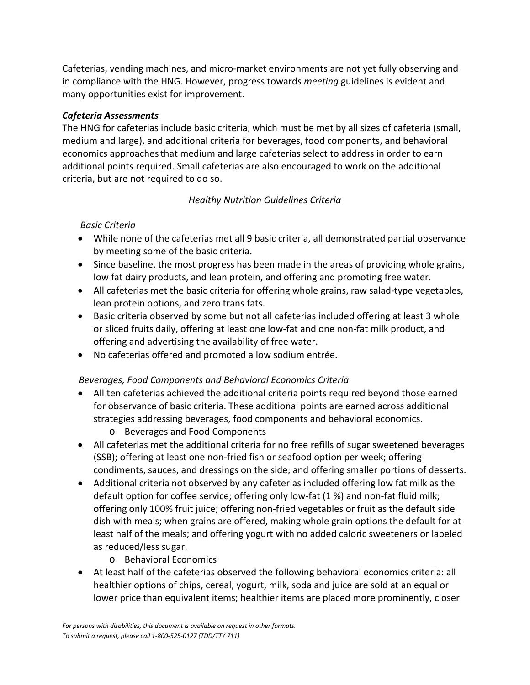Cafeterias, vending machines, and micro-market environments are not yet fully observing and in compliance with the HNG. However, progress towards *meeting* guidelines is evident and many opportunities exist for improvement.

#### *Cafeteria Assessments*

The HNG for cafeterias include basic criteria, which must be met by all sizes of cafeteria (small, medium and large), and additional criteria for beverages, food components, and behavioral economics approachesthat medium and large cafeterias select to address in order to earn additional points required. Small cafeterias are also encouraged to work on the additional criteria, but are not required to do so.

### *Healthy Nutrition Guidelines Criteria*

#### *Basic Criteria*

- While none of the cafeterias met all 9 basic criteria, all demonstrated partial observance by meeting some of the basic criteria.
- Since baseline, the most progress has been made in the areas of providing whole grains, low fat dairy products, and lean protein, and offering and promoting free water.
- All cafeterias met the basic criteria for offering whole grains, raw salad-type vegetables, lean protein options, and zero trans fats.
- Basic criteria observed by some but not all cafeterias included offering at least 3 whole or sliced fruits daily, offering at least one low-fat and one non-fat milk product, and offering and advertising the availability of free water.
- No cafeterias offered and promoted a low sodium entrée.

### *Beverages, Food Components and Behavioral Economics Criteria*

- All ten cafeterias achieved the additional criteria points required beyond those earned for observance of basic criteria. These additional points are earned across additional strategies addressing beverages, food components and behavioral economics.
	- o Beverages and Food Components
- All cafeterias met the additional criteria for no free refills of sugar sweetened beverages (SSB); offering at least one non-fried fish or seafood option per week; offering condiments, sauces, and dressings on the side; and offering smaller portions of desserts.
- Additional criteria not observed by any cafeterias included offering low fat milk as the default option for coffee service; offering only low-fat (1 %) and non-fat fluid milk; offering only 100% fruit juice; offering non-fried vegetables or fruit as the default side dish with meals; when grains are offered, making whole grain options the default for at least half of the meals; and offering yogurt with no added caloric sweeteners or labeled as reduced/less sugar.
	- o Behavioral Economics
- At least half of the cafeterias observed the following behavioral economics criteria: all healthier options of chips, cereal, yogurt, milk, soda and juice are sold at an equal or lower price than equivalent items; healthier items are placed more prominently, closer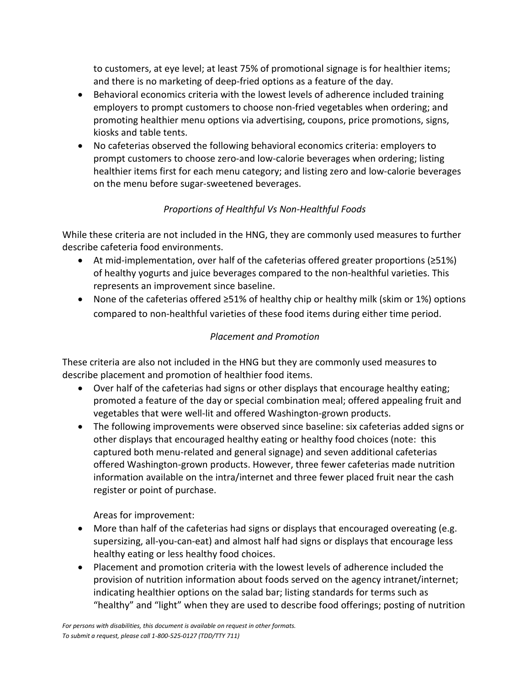to customers, at eye level; at least 75% of promotional signage is for healthier items; and there is no marketing of deep-fried options as a feature of the day.

- Behavioral economics criteria with the lowest levels of adherence included training employers to prompt customers to choose non-fried vegetables when ordering; and promoting healthier menu options via advertising, coupons, price promotions, signs, kiosks and table tents.
- No cafeterias observed the following behavioral economics criteria: employers to prompt customers to choose zero-and low-calorie beverages when ordering; listing healthier items first for each menu category; and listing zero and low-calorie beverages on the menu before sugar-sweetened beverages.

## *Proportions of Healthful Vs Non-Healthful Foods*

While these criteria are not included in the HNG, they are commonly used measures to further describe cafeteria food environments.

- At mid-implementation, over half of the cafeterias offered greater proportions (≥51%) of healthy yogurts and juice beverages compared to the non-healthful varieties. This represents an improvement since baseline.
- None of the cafeterias offered ≥51% of healthy chip or healthy milk (skim or 1%) options compared to non-healthful varieties of these food items during either time period.

### *Placement and Promotion*

These criteria are also not included in the HNG but they are commonly used measures to describe placement and promotion of healthier food items.

- Over half of the cafeterias had signs or other displays that encourage healthy eating; promoted a feature of the day or special combination meal; offered appealing fruit and vegetables that were well-lit and offered Washington-grown products.
- The following improvements were observed since baseline: six cafeterias added signs or other displays that encouraged healthy eating or healthy food choices (note: this captured both menu-related and general signage) and seven additional cafeterias offered Washington-grown products. However, three fewer cafeterias made nutrition information available on the intra/internet and three fewer placed fruit near the cash register or point of purchase.

Areas for improvement:

- More than half of the cafeterias had signs or displays that encouraged overeating (e.g. supersizing, all-you-can-eat) and almost half had signs or displays that encourage less healthy eating or less healthy food choices.
- Placement and promotion criteria with the lowest levels of adherence included the provision of nutrition information about foods served on the agency intranet/internet; indicating healthier options on the salad bar; listing standards for terms such as "healthy" and "light" when they are used to describe food offerings; posting of nutrition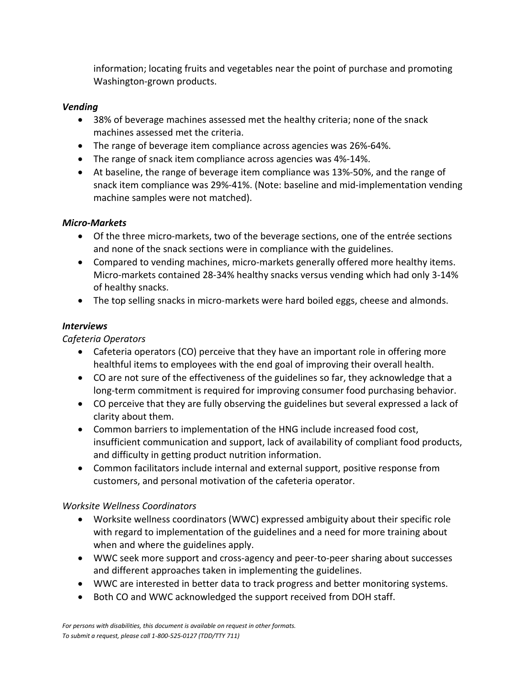information; locating fruits and vegetables near the point of purchase and promoting Washington-grown products.

#### *Vending*

- 38% of beverage machines assessed met the healthy criteria; none of the snack machines assessed met the criteria.
- The range of beverage item compliance across agencies was 26%-64%.
- The range of snack item compliance across agencies was 4%-14%.
- At baseline, the range of beverage item compliance was 13%-50%, and the range of snack item compliance was 29%-41%. (Note: baseline and mid-implementation vending machine samples were not matched).

### *Micro-Markets*

- Of the three micro-markets, two of the beverage sections, one of the entrée sections and none of the snack sections were in compliance with the guidelines.
- Compared to vending machines, micro-markets generally offered more healthy items. Micro-markets contained 28-34% healthy snacks versus vending which had only 3-14% of healthy snacks.
- The top selling snacks in micro-markets were hard boiled eggs, cheese and almonds.

### *Interviews*

### *Cafeteria Operators*

- Cafeteria operators (CO) perceive that they have an important role in offering more healthful items to employees with the end goal of improving their overall health.
- CO are not sure of the effectiveness of the guidelines so far, they acknowledge that a long-term commitment is required for improving consumer food purchasing behavior.
- CO perceive that they are fully observing the guidelines but several expressed a lack of clarity about them.
- Common barriers to implementation of the HNG include increased food cost, insufficient communication and support, lack of availability of compliant food products, and difficulty in getting product nutrition information.
- Common facilitators include internal and external support, positive response from customers, and personal motivation of the cafeteria operator.

### *Worksite Wellness Coordinators*

- Worksite wellness coordinators (WWC) expressed ambiguity about their specific role with regard to implementation of the guidelines and a need for more training about when and where the guidelines apply.
- WWC seek more support and cross-agency and peer-to-peer sharing about successes and different approaches taken in implementing the guidelines.
- WWC are interested in better data to track progress and better monitoring systems.
- Both CO and WWC acknowledged the support received from DOH staff.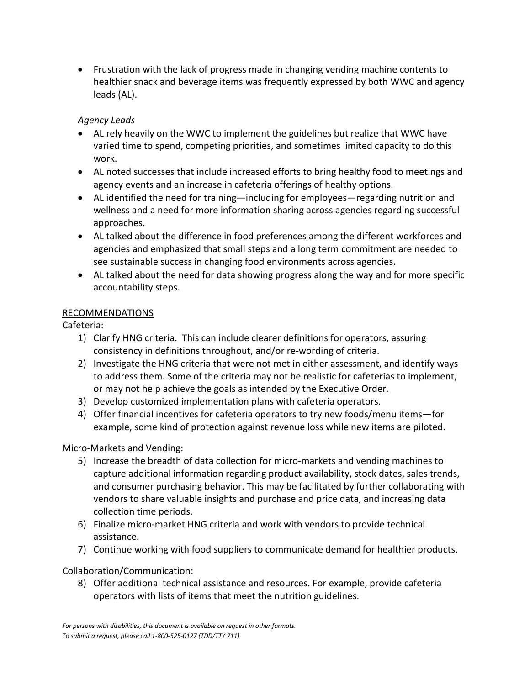• Frustration with the lack of progress made in changing vending machine contents to healthier snack and beverage items was frequently expressed by both WWC and agency leads (AL).

### *Agency Leads*

- AL rely heavily on the WWC to implement the guidelines but realize that WWC have varied time to spend, competing priorities, and sometimes limited capacity to do this work.
- AL noted successes that include increased efforts to bring healthy food to meetings and agency events and an increase in cafeteria offerings of healthy options.
- AL identified the need for training—including for employees—regarding nutrition and wellness and a need for more information sharing across agencies regarding successful approaches.
- AL talked about the difference in food preferences among the different workforces and agencies and emphasized that small steps and a long term commitment are needed to see sustainable success in changing food environments across agencies.
- AL talked about the need for data showing progress along the way and for more specific accountability steps.

#### RECOMMENDATIONS

Cafeteria:

- 1) Clarify HNG criteria. This can include clearer definitions for operators, assuring consistency in definitions throughout, and/or re-wording of criteria.
- 2) Investigate the HNG criteria that were not met in either assessment, and identify ways to address them. Some of the criteria may not be realistic for cafeterias to implement, or may not help achieve the goals as intended by the Executive Order.
- 3) Develop customized implementation plans with cafeteria operators.
- 4) Offer financial incentives for cafeteria operators to try new foods/menu items—for example, some kind of protection against revenue loss while new items are piloted.

Micro-Markets and Vending:

- 5) Increase the breadth of data collection for micro-markets and vending machines to capture additional information regarding product availability, stock dates, sales trends, and consumer purchasing behavior. This may be facilitated by further collaborating with vendors to share valuable insights and purchase and price data, and increasing data collection time periods.
- 6) Finalize micro-market HNG criteria and work with vendors to provide technical assistance.
- 7) Continue working with food suppliers to communicate demand for healthier products.

Collaboration/Communication:

8) Offer additional technical assistance and resources. For example, provide cafeteria operators with lists of items that meet the nutrition guidelines.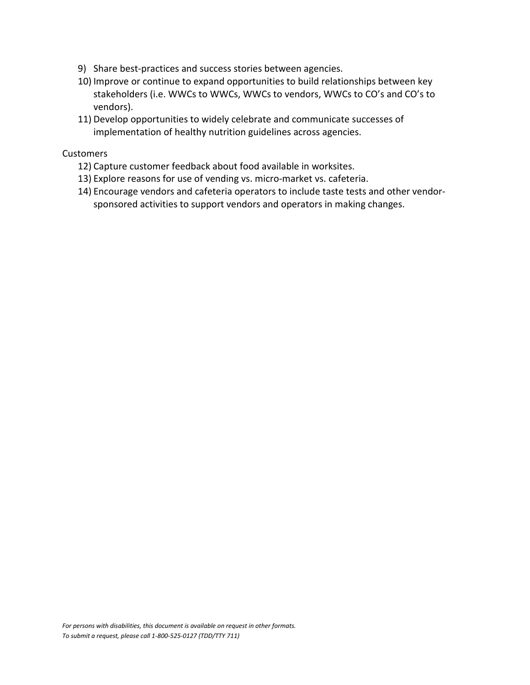- 9) Share best-practices and success stories between agencies.
- 10) Improve or continue to expand opportunities to build relationships between key stakeholders (i.e. WWCs to WWCs, WWCs to vendors, WWCs to CO's and CO's to vendors).
- 11) Develop opportunities to widely celebrate and communicate successes of implementation of healthy nutrition guidelines across agencies.

#### **Customers**

- 12) Capture customer feedback about food available in worksites.
- 13) Explore reasons for use of vending vs. micro-market vs. cafeteria.
- 14) Encourage vendors and cafeteria operators to include taste tests and other vendorsponsored activities to support vendors and operators in making changes.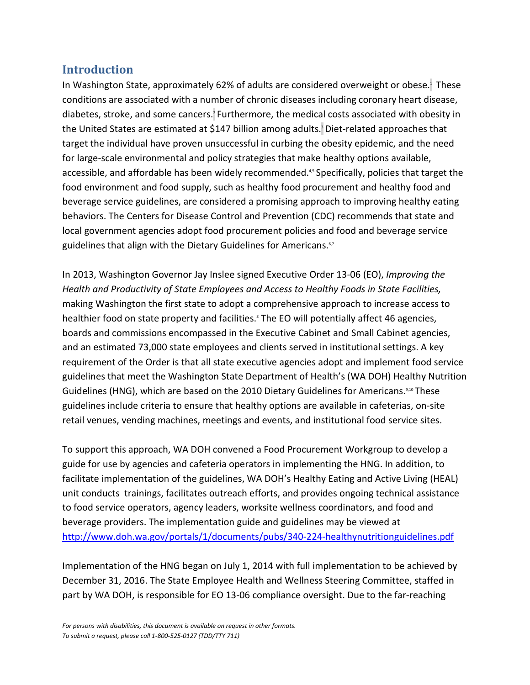## <span id="page-8-0"></span>**Introduction**

In Washington State, approximately 62% of adults are considered overweight or obese.<sup>1</sup> These conditions are associated with a number of chronic diseases including coronary heart disease, diabetes, stroke, and some cancers.<sup>2</sup> Furthermore, the medical costs associated with obesity in the United States are estimated at \$147 billion among adults.<sup>3</sup> Diet-related approaches that target the individual have proven unsuccessful in curbing the obesity epidemic, and the need for large-scale environmental and policy strategies that make healthy options available, accessible, and affordable has been widely recommended.<sup>4,5</sup> Specifically, policies that target the food environment and food supply, such as healthy food procurement and healthy food and beverage service guidelines, are considered a promising approach to improving healthy eating behaviors. The Centers for Disease Control and Prevention (CDC) recommends that state and local government agencies adopt food procurement policies and food and beverage service guidelines that align with the Dietary Guidelines for Americans.<sup>6,7</sup>

In 2013, Washington Governor Jay Inslee signed Executive Order 13-06 (EO), *Improving the Health and Productivity of State Employees and Access to Healthy Foods in State Facilities,*  making Washington the first state to adopt a comprehensive approach to increase access to healthier food on state property and facilities.<sup>8</sup> The EO will potentially affect 46 agencies, boards and commissions encompassed in the Executive Cabinet and Small Cabinet agencies, and an estimated 73,000 state employees and clients served in institutional settings. A key requirement of the Order is that all state executive agencies adopt and implement food service guidelines that meet the Washington State Department of Health's (WA DOH) Healthy Nutrition Guidelines (HNG), which are based on the 2010 Dietary Guidelines for Americans.<sup>9,10</sup> These guidelines include criteria to ensure that healthy options are available in cafeterias, on-site retail venues, vending machines, meetings and events, and institutional food service sites.

To support this approach, WA DOH convened a Food Procurement Workgroup to develop a guide for use by agencies and cafeteria operators in implementing the HNG. In addition, to facilitate implementation of the guidelines, WA DOH's Healthy Eating and Active Living (HEAL) unit conducts trainings, facilitates outreach efforts, and provides ongoing technical assistance to food service operators, agency leaders, worksite wellness coordinators, and food and beverage providers. The implementation guide and guidelines may be viewed at <http://www.doh.wa.gov/portals/1/documents/pubs/340-224-healthynutritionguidelines.pdf>

Implementation of the HNG began on July 1, 2014 with full implementation to be achieved by December 31, 2016. The State Employee Health and Wellness Steering Committee, staffed in part by WA DOH, is responsible for EO 13-06 compliance oversight. Due to the far-reaching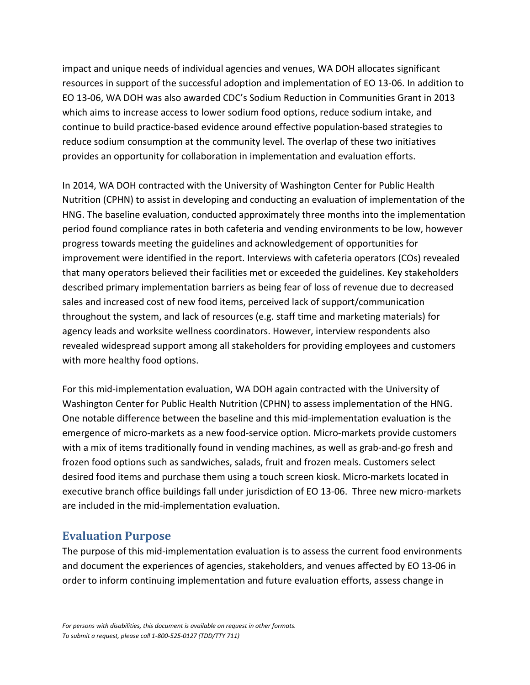impact and unique needs of individual agencies and venues, WA DOH allocates significant resources in support of the successful adoption and implementation of EO 13-06. In addition to EO 13-06, WA DOH was also awarded CDC's Sodium Reduction in Communities Grant in 2013 which aims to increase access to lower sodium food options, reduce sodium intake, and continue to build practice-based evidence around effective population-based strategies to reduce sodium consumption at the community level. The overlap of these two initiatives provides an opportunity for collaboration in implementation and evaluation efforts.

In 2014, WA DOH contracted with the University of Washington Center for Public Health Nutrition (CPHN) to assist in developing and conducting an evaluation of implementation of the HNG. The baseline evaluation, conducted approximately three months into the implementation period found compliance rates in both cafeteria and vending environments to be low, however progress towards meeting the guidelines and acknowledgement of opportunities for improvement were identified in the report. Interviews with cafeteria operators (COs) revealed that many operators believed their facilities met or exceeded the guidelines. Key stakeholders described primary implementation barriers as being fear of loss of revenue due to decreased sales and increased cost of new food items, perceived lack of support/communication throughout the system, and lack of resources (e.g. staff time and marketing materials) for agency leads and worksite wellness coordinators. However, interview respondents also revealed widespread support among all stakeholders for providing employees and customers with more healthy food options.

For this mid-implementation evaluation, WA DOH again contracted with the University of Washington Center for Public Health Nutrition (CPHN) to assess implementation of the HNG. One notable difference between the baseline and this mid-implementation evaluation is the emergence of micro-markets as a new food-service option. Micro-markets provide customers with a mix of items traditionally found in vending machines, as well as grab-and-go fresh and frozen food options such as sandwiches, salads, fruit and frozen meals. Customers select desired food items and purchase them using a touch screen kiosk. Micro-markets located in executive branch office buildings fall under jurisdiction of EO 13-06. Three new micro-markets are included in the mid-implementation evaluation.

## <span id="page-9-0"></span>**Evaluation Purpose**

The purpose of this mid-implementation evaluation is to assess the current food environments and document the experiences of agencies, stakeholders, and venues affected by EO 13-06 in order to inform continuing implementation and future evaluation efforts, assess change in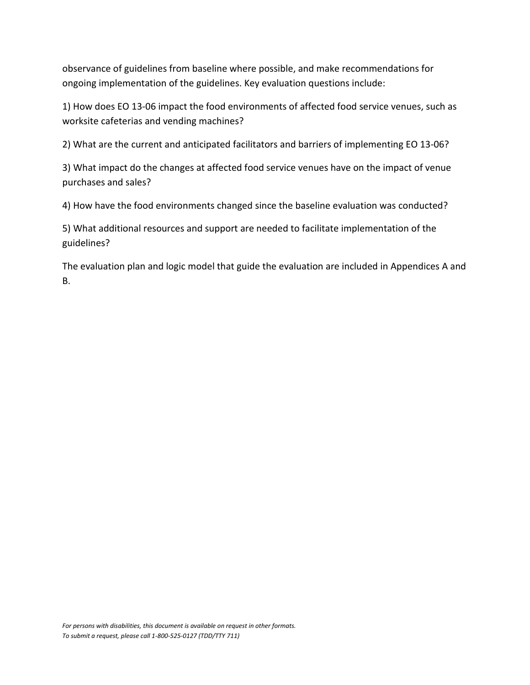observance of guidelines from baseline where possible, and make recommendations for ongoing implementation of the guidelines. Key evaluation questions include:

1) How does EO 13-06 impact the food environments of affected food service venues, such as worksite cafeterias and vending machines?

2) What are the current and anticipated facilitators and barriers of implementing EO 13-06?

3) What impact do the changes at affected food service venues have on the impact of venue purchases and sales?

4) How have the food environments changed since the baseline evaluation was conducted?

5) What additional resources and support are needed to facilitate implementation of the guidelines?

The evaluation plan and logic model that guide the evaluation are included in Appendices A and B.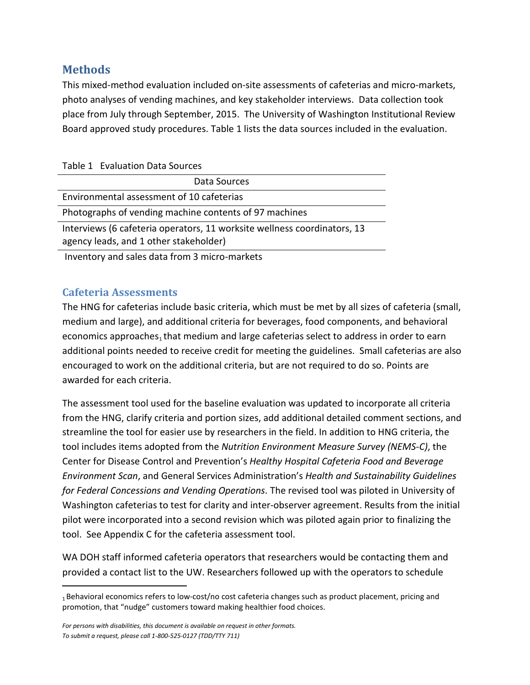## <span id="page-11-0"></span>**Methods**

This mixed-method evaluation included on-site assessments of cafeterias and micro-markets, photo analyses of vending machines, and key stakeholder interviews. Data collection took place from July through September, 2015. The University of Washington Institutional Review Board approved study procedures. Table 1 lists the data sources included in the evaluation.

| Table 1 Evaluation Data Sources                                                                                                                                                                                                 |
|---------------------------------------------------------------------------------------------------------------------------------------------------------------------------------------------------------------------------------|
| Data Sources                                                                                                                                                                                                                    |
| Environmental assessment of 10 cafeterias                                                                                                                                                                                       |
| Photographs of vending machine contents of 97 machines                                                                                                                                                                          |
| Interviews (6 cafeteria operators, 11 worksite wellness coordinators, 13                                                                                                                                                        |
| agency leads, and 1 other stakeholder)                                                                                                                                                                                          |
| $\sim$ . The set of the set of the set of the set of the set of the set of the set of the set of the set of the set of the set of the set of the set of the set of the set of the set of the set of the set of the set of the s |

Inventory and sales data from 3 micro-markets

## <span id="page-11-1"></span>**Cafeteria Assessments**

 $\overline{a}$ 

The HNG for cafeterias include basic criteria, which must be met by all sizes of cafeteria (small, medium and large), and additional criteria for beverages, food components, and behavioral economics approaches, that medium and large cafeterias select to address in order to earn additional points needed to receive credit for meeting the guidelines. Small cafeterias are also encouraged to work on the additional criteria, but are not required to do so. Points are awarded for each criteria.

The assessment tool used for the baseline evaluation was updated to incorporate all criteria from the HNG, clarify criteria and portion sizes, add additional detailed comment sections, and streamline the tool for easier use by researchers in the field. In addition to HNG criteria, the tool includes items adopted from the *Nutrition Environment Measure Survey (NEMS-C)*, the Center for Disease Control and Prevention's *Healthy Hospital Cafeteria Food and Beverage Environment Scan*, and General Services Administration's *Health and Sustainability Guidelines for Federal Concessions and Vending Operations*. The revised tool was piloted in University of Washington cafeterias to test for clarity and inter-observer agreement. Results from the initial pilot were incorporated into a second revision which was piloted again prior to finalizing the tool. See Appendix C for the cafeteria assessment tool.

WA DOH staff informed cafeteria operators that researchers would be contacting them and provided a contact list to the UW. Researchers followed up with the operators to schedule

<span id="page-11-2"></span><sup>1</sup> Behavioral economics refers to low-cost/no cost cafeteria changes such as product placement, pricing and promotion, that "nudge" customers toward making healthier food choices.

*For persons with disabilities, this document is available on request in other formats. To submit a request, please call 1-800-525-0127 (TDD/TTY 711)*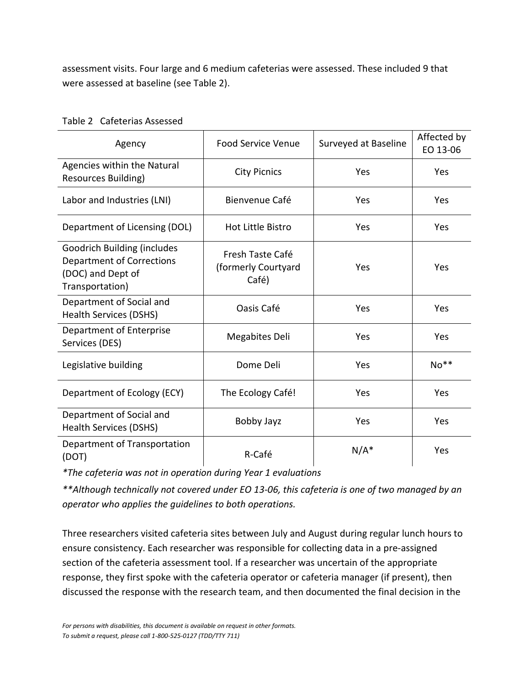assessment visits. Four large and 6 medium cafeterias were assessed. These included 9 that were assessed at baseline (see Table 2).

| Agency                                                                                                  | <b>Food Service Venue</b><br>Surveyed at Baseline |         | Affected by<br>EO 13-06 |
|---------------------------------------------------------------------------------------------------------|---------------------------------------------------|---------|-------------------------|
| Agencies within the Natural<br>Resources Building)                                                      | <b>City Picnics</b>                               | Yes     | Yes                     |
| Labor and Industries (LNI)                                                                              | Bienvenue Café                                    | Yes     | Yes                     |
| Department of Licensing (DOL)                                                                           | <b>Hot Little Bistro</b>                          | Yes     | Yes                     |
| <b>Goodrich Building (includes</b><br>Department of Corrections<br>(DOC) and Dept of<br>Transportation) | Fresh Taste Café<br>(formerly Courtyard<br>Café)  | Yes     | Yes                     |
| Department of Social and<br>Health Services (DSHS)                                                      | Oasis Café                                        | Yes     | Yes                     |
| Department of Enterprise<br>Services (DES)                                                              | Megabites Deli                                    | Yes     | Yes                     |
| Legislative building                                                                                    | Dome Deli                                         | Yes     | $No**$                  |
| Department of Ecology (ECY)                                                                             | The Ecology Café!                                 | Yes     | Yes                     |
| Department of Social and<br>Health Services (DSHS)                                                      | Bobby Jayz                                        | Yes     | Yes                     |
| Department of Transportation<br>(DOT)                                                                   | R-Café                                            | $N/A^*$ | Yes                     |

| Table 2 Cafeterias Assessed |
|-----------------------------|
|                             |

*\*The cafeteria was not in operation during Year 1 evaluations*

*\*\*Although technically not covered under EO 13-06, this cafeteria is one of two managed by an operator who applies the guidelines to both operations.*

Three researchers visited cafeteria sites between July and August during regular lunch hours to ensure consistency. Each researcher was responsible for collecting data in a pre-assigned section of the cafeteria assessment tool. If a researcher was uncertain of the appropriate response, they first spoke with the cafeteria operator or cafeteria manager (if present), then discussed the response with the research team, and then documented the final decision in the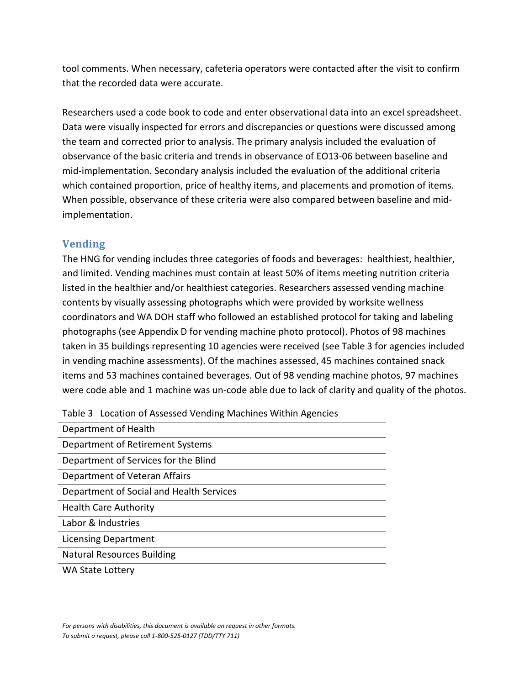tool comments. When necessary, cafeteria operators were contacted after the visit to confirm that the recorded data were accurate.

Researchers used a code book to code and enter observational data into an excel spreadsheet. Data were visually inspected for errors and discrepancies or questions were discussed among the team and corrected prior to analysis. The primary analysis included the evaluation of observance of the basic criteria and trends in observance of EO13-06 between baseline and mid-implementation. Secondary analysis included the evaluation of the additional criteria which contained proportion, price of healthy items, and placements and promotion of items. When possible, observance of these criteria were also compared between baseline and midimplementation.

## <span id="page-13-0"></span>**Vending**

The HNG for vending includes three categories of foods and beverages: healthiest, healthier, and limited. Vending machines must contain at least 50% of items meeting nutrition criteria listed in the healthier and/or healthiest categories. Researchers assessed vending machine contents by visually assessing photographs which were provided by worksite wellness coordinators and WA DOH staff who followed an established protocol for taking and labeling photographs (see Appendix D for vending machine photo protocol). Photos of 98 machines taken in 35 buildings representing 10 agencies were received (see Table 3 for agencies included in vending machine assessments). Of the machines assessed, 45 machines contained snack items and 53 machines contained beverages. Out of 98 vending machine photos, 97 machines were code able and 1 machine was un-code able due to lack of clarity and quality of the photos.

| Department of Health                     |  |
|------------------------------------------|--|
| Department of Retirement Systems         |  |
| Department of Services for the Blind     |  |
| Department of Veteran Affairs            |  |
| Department of Social and Health Services |  |
| <b>Health Care Authority</b>             |  |
| Labor & Industries                       |  |
| Licensing Department                     |  |
| <b>Natural Resources Building</b>        |  |
|                                          |  |

Table 3 Location of Assessed Vending Machines Within Agencies

WA State Lottery

*For persons with disabilities, this document is available on request in other formats. To submit a request, please call 1-800-525-0127 (TDD/TTY 711)*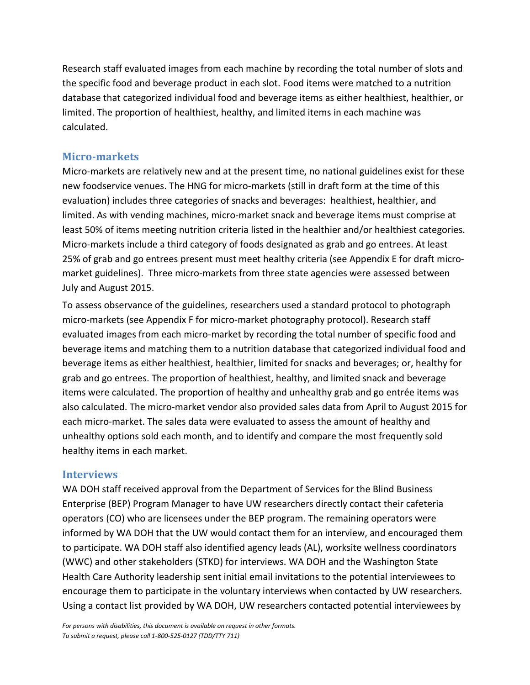Research staff evaluated images from each machine by recording the total number of slots and the specific food and beverage product in each slot. Food items were matched to a nutrition database that categorized individual food and beverage items as either healthiest, healthier, or limited. The proportion of healthiest, healthy, and limited items in each machine was calculated.

#### <span id="page-14-0"></span>**Micro-markets**

Micro-markets are relatively new and at the present time, no national guidelines exist for these new foodservice venues. The HNG for micro-markets (still in draft form at the time of this evaluation) includes three categories of snacks and beverages: healthiest, healthier, and limited. As with vending machines, micro-market snack and beverage items must comprise at least 50% of items meeting nutrition criteria listed in the healthier and/or healthiest categories. Micro-markets include a third category of foods designated as grab and go entrees. At least 25% of grab and go entrees present must meet healthy criteria (see Appendix E for draft micromarket guidelines). Three micro-markets from three state agencies were assessed between July and August 2015.

To assess observance of the guidelines, researchers used a standard protocol to photograph micro-markets (see Appendix F for micro-market photography protocol). Research staff evaluated images from each micro-market by recording the total number of specific food and beverage items and matching them to a nutrition database that categorized individual food and beverage items as either healthiest, healthier, limited for snacks and beverages; or, healthy for grab and go entrees. The proportion of healthiest, healthy, and limited snack and beverage items were calculated. The proportion of healthy and unhealthy grab and go entrée items was also calculated. The micro-market vendor also provided sales data from April to August 2015 for each micro-market. The sales data were evaluated to assess the amount of healthy and unhealthy options sold each month, and to identify and compare the most frequently sold healthy items in each market.

#### <span id="page-14-1"></span>**Interviews**

WA DOH staff received approval from the Department of Services for the Blind Business Enterprise (BEP) Program Manager to have UW researchers directly contact their cafeteria operators (CO) who are licensees under the BEP program. The remaining operators were informed by WA DOH that the UW would contact them for an interview, and encouraged them to participate. WA DOH staff also identified agency leads (AL), worksite wellness coordinators (WWC) and other stakeholders (STKD) for interviews. WA DOH and the Washington State Health Care Authority leadership sent initial email invitations to the potential interviewees to encourage them to participate in the voluntary interviews when contacted by UW researchers. Using a contact list provided by WA DOH, UW researchers contacted potential interviewees by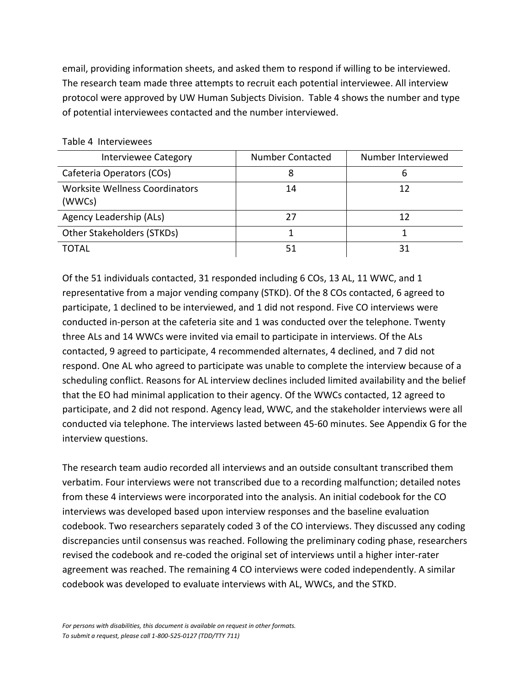email, providing information sheets, and asked them to respond if willing to be interviewed. The research team made three attempts to recruit each potential interviewee. All interview protocol were approved by UW Human Subjects Division. Table 4 shows the number and type of potential interviewees contacted and the number interviewed.

| <b>Interviewee Category</b>              | <b>Number Contacted</b> | Number Interviewed |
|------------------------------------------|-------------------------|--------------------|
| Cafeteria Operators (COs)                |                         | 6                  |
| Worksite Wellness Coordinators<br>(WWCs) | 14                      | 12                 |
| Agency Leadership (ALs)                  |                         | 12                 |
| Other Stakeholders (STKDs)               |                         |                    |
| TOTAL                                    | 51                      | 31                 |

#### Table 4 Interviewees

Of the 51 individuals contacted, 31 responded including 6 COs, 13 AL, 11 WWC, and 1 representative from a major vending company (STKD). Of the 8 COs contacted, 6 agreed to participate, 1 declined to be interviewed, and 1 did not respond. Five CO interviews were conducted in-person at the cafeteria site and 1 was conducted over the telephone. Twenty three ALs and 14 WWCs were invited via email to participate in interviews. Of the ALs contacted, 9 agreed to participate, 4 recommended alternates, 4 declined, and 7 did not respond. One AL who agreed to participate was unable to complete the interview because of a scheduling conflict. Reasons for AL interview declines included limited availability and the belief that the EO had minimal application to their agency. Of the WWCs contacted, 12 agreed to participate, and 2 did not respond. Agency lead, WWC, and the stakeholder interviews were all conducted via telephone. The interviews lasted between 45-60 minutes. See Appendix G for the interview questions.

The research team audio recorded all interviews and an outside consultant transcribed them verbatim. Four interviews were not transcribed due to a recording malfunction; detailed notes from these 4 interviews were incorporated into the analysis. An initial codebook for the CO interviews was developed based upon interview responses and the baseline evaluation codebook. Two researchers separately coded 3 of the CO interviews. They discussed any coding discrepancies until consensus was reached. Following the preliminary coding phase, researchers revised the codebook and re-coded the original set of interviews until a higher inter-rater agreement was reached. The remaining 4 CO interviews were coded independently. A similar codebook was developed to evaluate interviews with AL, WWCs, and the STKD.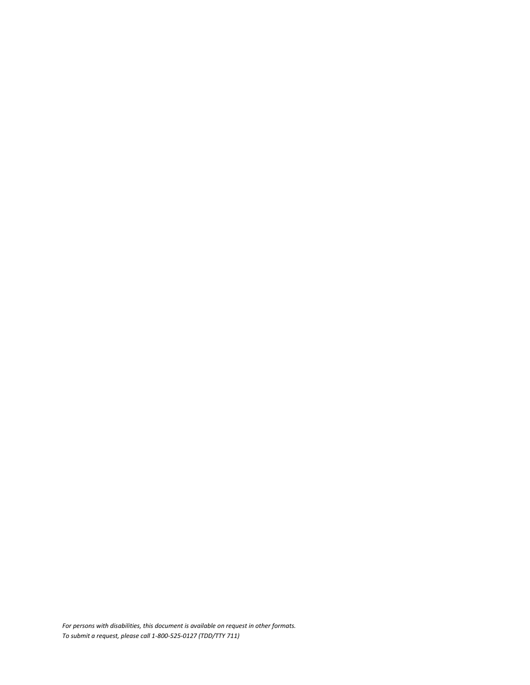*For persons with disabilities, this document is available on request in other formats. To submit a request, please call 1-800-525-0127 (TDD/TTY 711)*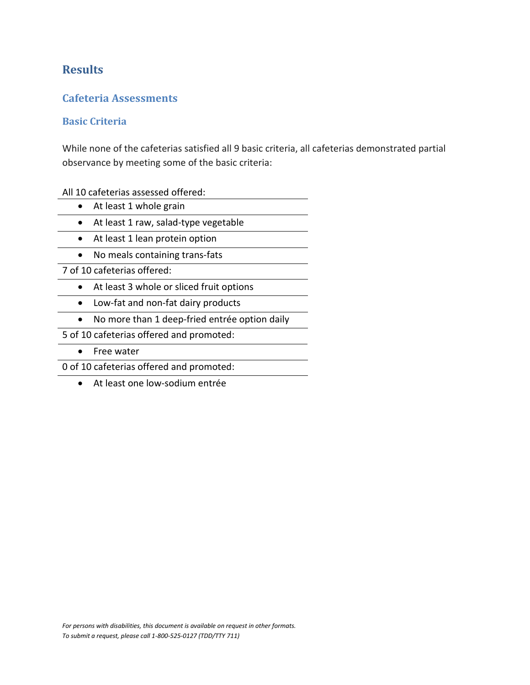## <span id="page-17-0"></span>**Results**

### <span id="page-17-1"></span>**Cafeteria Assessments**

#### <span id="page-17-2"></span>**Basic Criteria**

While none of the cafeterias satisfied all 9 basic criteria, all cafeterias demonstrated partial observance by meeting some of the basic criteria:

All 10 cafeterias assessed offered:

- At least 1 whole grain
- At least 1 raw, salad-type vegetable
- At least 1 lean protein option
- No meals containing trans-fats

7 of 10 cafeterias offered:

- At least 3 whole or sliced fruit options
- Low-fat and non-fat dairy products
- No more than 1 deep-fried entrée option daily

5 of 10 cafeterias offered and promoted:

• Free water

0 of 10 cafeterias offered and promoted:

• At least one low-sodium entrée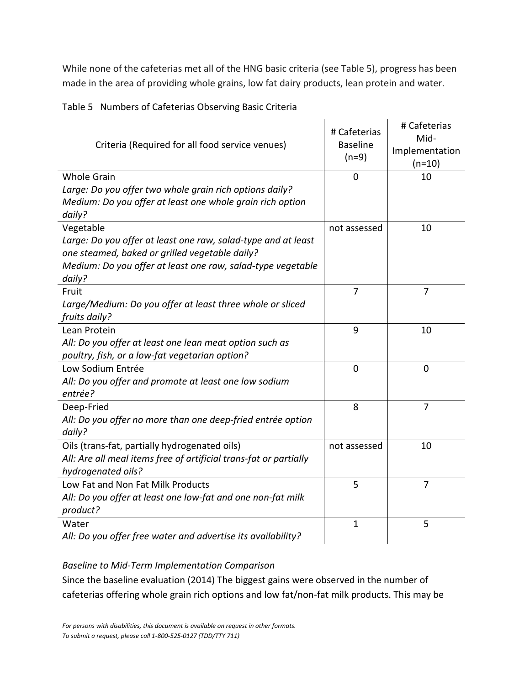While none of the cafeterias met all of the HNG basic criteria (see Table 5), progress has been made in the area of providing whole grains, low fat dairy products, lean protein and water.

| Criteria (Required for all food service venues)                                                                                                                                          | # Cafeterias<br><b>Baseline</b><br>$(n=9)$ | # Cafeterias<br>Mid-<br>Implementation<br>$(n=10)$ |
|------------------------------------------------------------------------------------------------------------------------------------------------------------------------------------------|--------------------------------------------|----------------------------------------------------|
| <b>Whole Grain</b>                                                                                                                                                                       | $\overline{0}$                             | 10                                                 |
| Large: Do you offer two whole grain rich options daily?<br>Medium: Do you offer at least one whole grain rich option<br>daily?                                                           |                                            |                                                    |
| Vegetable                                                                                                                                                                                | not assessed                               | 10                                                 |
| Large: Do you offer at least one raw, salad-type and at least<br>one steamed, baked or grilled vegetable daily?<br>Medium: Do you offer at least one raw, salad-type vegetable<br>daily? |                                            |                                                    |
| Fruit                                                                                                                                                                                    | 7                                          | 7                                                  |
| Large/Medium: Do you offer at least three whole or sliced<br>fruits daily?                                                                                                               |                                            |                                                    |
| Lean Protein                                                                                                                                                                             | 9                                          | 10                                                 |
| All: Do you offer at least one lean meat option such as<br>poultry, fish, or a low-fat vegetarian option?                                                                                |                                            |                                                    |
| Low Sodium Entrée                                                                                                                                                                        | $\overline{0}$                             | $\overline{0}$                                     |
| All: Do you offer and promote at least one low sodium<br>entrée?                                                                                                                         |                                            |                                                    |
| Deep-Fried                                                                                                                                                                               | 8                                          | $\overline{7}$                                     |
| All: Do you offer no more than one deep-fried entrée option<br>daily?                                                                                                                    |                                            |                                                    |
| Oils (trans-fat, partially hydrogenated oils)                                                                                                                                            | not assessed                               | 10                                                 |
| All: Are all meal items free of artificial trans-fat or partially<br>hydrogenated oils?                                                                                                  |                                            |                                                    |
| Low Fat and Non Fat Milk Products                                                                                                                                                        | 5                                          | $\overline{7}$                                     |
| All: Do you offer at least one low-fat and one non-fat milk<br>product?                                                                                                                  |                                            |                                                    |
| Water                                                                                                                                                                                    | $\mathbf{1}$                               | 5                                                  |
| All: Do you offer free water and advertise its availability?                                                                                                                             |                                            |                                                    |
|                                                                                                                                                                                          |                                            |                                                    |

Table 5 Numbers of Cafeterias Observing Basic Criteria

*Baseline to Mid-Term Implementation Comparison*

Since the baseline evaluation (2014) The biggest gains were observed in the number of cafeterias offering whole grain rich options and low fat/non-fat milk products. This may be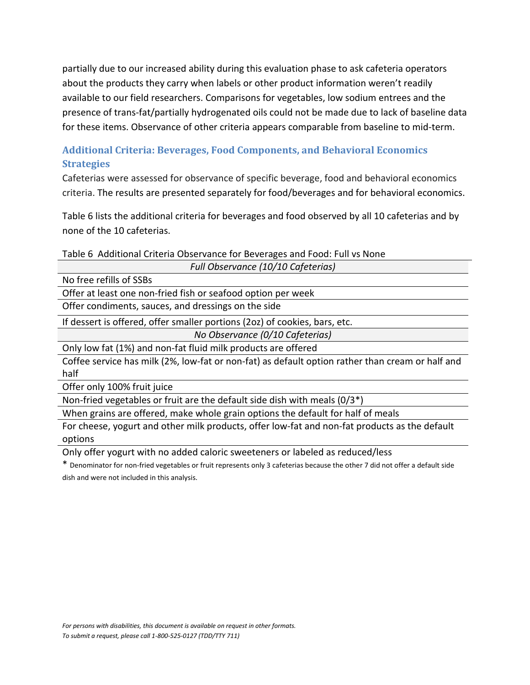partially due to our increased ability during this evaluation phase to ask cafeteria operators about the products they carry when labels or other product information weren't readily available to our field researchers. Comparisons for vegetables, low sodium entrees and the presence of trans-fat/partially hydrogenated oils could not be made due to lack of baseline data for these items. Observance of other criteria appears comparable from baseline to mid-term.

## <span id="page-19-0"></span>**Additional Criteria: Beverages, Food Components, and Behavioral Economics Strategies**

Cafeterias were assessed for observance of specific beverage, food and behavioral economics criteria. The results are presented separately for food/beverages and for behavioral economics.

Table 6 lists the additional criteria for beverages and food observed by all 10 cafeterias and by none of the 10 cafeterias.

|  | Table 6 Additional Criteria Observance for Beverages and Food: Full vs None |  |  |
|--|-----------------------------------------------------------------------------|--|--|
|  |                                                                             |  |  |

| Full Observance (10/10 Cafeterias)                                                               |
|--------------------------------------------------------------------------------------------------|
| No free refills of SSBs                                                                          |
| Offer at least one non-fried fish or seafood option per week                                     |
| Offer condiments, sauces, and dressings on the side                                              |
| If dessert is offered, offer smaller portions (2oz) of cookies, bars, etc.                       |
| No Observance (0/10 Cafeterias)                                                                  |
| Only low fat (1%) and non-fat fluid milk products are offered                                    |
| Coffee service has milk (2%, low-fat or non-fat) as default option rather than cream or half and |
| half                                                                                             |

Offer only 100% fruit juice

Non-fried vegetables or fruit are the default side dish with meals (0/3\*)

When grains are offered, make whole grain options the default for half of meals

For cheese, yogurt and other milk products, offer low-fat and non-fat products as the default options

Only offer yogurt with no added caloric sweeteners or labeled as reduced/less

\* Denominator for non-fried vegetables or fruit represents only 3 cafeterias because the other 7 did not offer a default side dish and were not included in this analysis.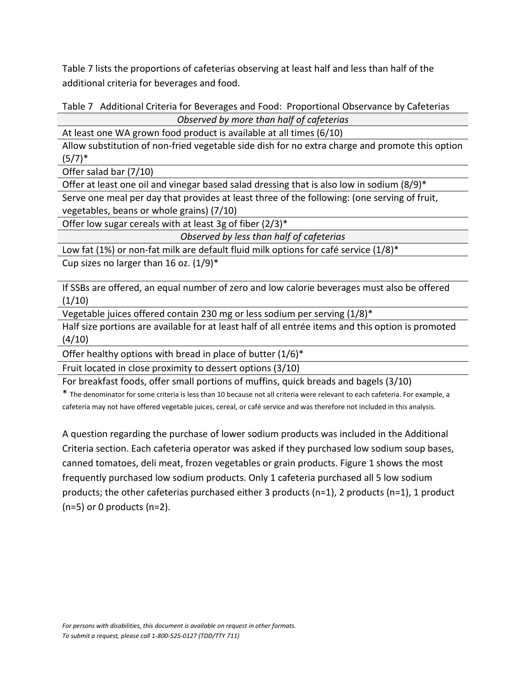Table 7 lists the proportions of cafeterias observing at least half and less than half of the additional criteria for beverages and food.

Table 7 Additional Criteria for Beverages and Food: Proportional Observance by Cafeterias

*Observed by more than half of cafeterias* 

At least one WA grown food product is available at all times (6/10) Allow substitution of non-fried vegetable side dish for no extra charge and promote this option  $(5/7)^*$ 

Offer salad bar (7/10)

Offer at least one oil and vinegar based salad dressing that is also low in sodium (8/9)\*

Serve one meal per day that provides at least three of the following: (one serving of fruit, vegetables, beans or whole grains) (7/10)

Offer low sugar cereals with at least 3g of fiber  $(2/3)^*$ 

*Observed by less than half of cafeterias*

Low fat (1%) or non-fat milk are default fluid milk options for café service (1/8)\*

Cup sizes no larger than 16 oz.  $(1/9)^*$ 

If SSBs are offered, an equal number of zero and low calorie beverages must also be offered  $(1/10)$ 

Vegetable juices offered contain 230 mg or less sodium per serving (1/8)\*

Half size portions are available for at least half of all entrée items and this option is promoted (4/10)

Offer healthy options with bread in place of butter  $(1/6)^*$ 

Fruit located in close proximity to dessert options (3/10)

For breakfast foods, offer small portions of muffins, quick breads and bagels (3/10)

\* The denominator for some criteria is less than 10 because not all criteria were relevant to each cafeteria. For example, a cafeteria may not have offered vegetable juices, cereal, or café service and was therefore not included in this analysis.

A question regarding the purchase of lower sodium products was included in the Additional Criteria section. Each cafeteria operator was asked if they purchased low sodium soup bases, canned tomatoes, deli meat, frozen vegetables or grain products. Figure 1 shows the most frequently purchased low sodium products. Only 1 cafeteria purchased all 5 low sodium products; the other cafeterias purchased either 3 products (n=1), 2 products (n=1), 1 product (n=5) or 0 products (n=2).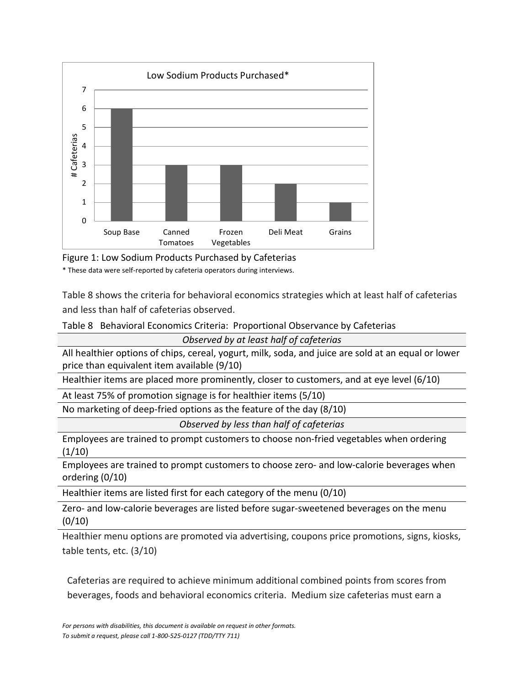

Figure 1: Low Sodium Products Purchased by Cafeterias

\* These data were self-reported by cafeteria operators during interviews.

Table 8 shows the criteria for behavioral economics strategies which at least half of cafeterias and less than half of cafeterias observed.

Table 8 Behavioral Economics Criteria: Proportional Observance by Cafeterias

*Observed by at least half of cafeterias* 

All healthier options of chips, cereal, yogurt, milk, soda, and juice are sold at an equal or lower price than equivalent item available (9/10)

Healthier items are placed more prominently, closer to customers, and at eye level (6/10)

At least 75% of promotion signage is for healthier items (5/10)

No marketing of deep-fried options as the feature of the day (8/10)

*Observed by less than half of cafeterias*

Employees are trained to prompt customers to choose non-fried vegetables when ordering  $(1/10)$ 

Employees are trained to prompt customers to choose zero- and low-calorie beverages when ordering (0/10)

Healthier items are listed first for each category of the menu (0/10)

Zero- and low-calorie beverages are listed before sugar-sweetened beverages on the menu  $(0/10)$ 

Healthier menu options are promoted via advertising, coupons price promotions, signs, kiosks, table tents, etc. (3/10)

Cafeterias are required to achieve minimum additional combined points from scores from beverages, foods and behavioral economics criteria. Medium size cafeterias must earn a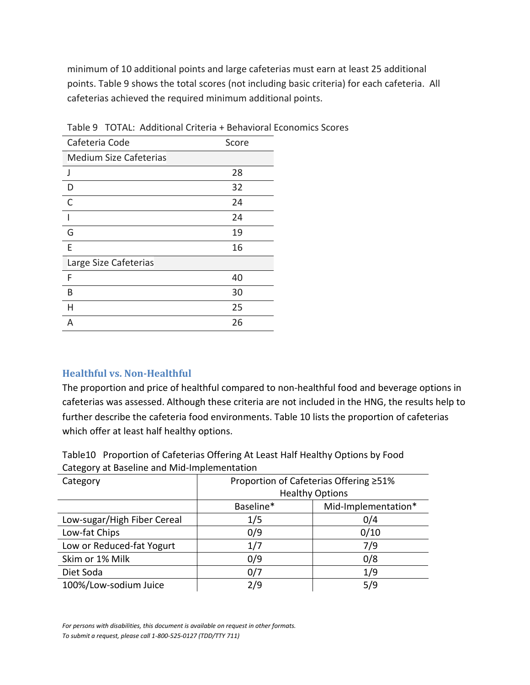minimum of 10 additional points and large cafeterias must earn at least 25 additional points. Table 9 shows the total scores (not including basic criteria) for each cafeteria. All cafeterias achieved the required minimum additional points.

| Cafeteria Code                | Score |
|-------------------------------|-------|
| <b>Medium Size Cafeterias</b> |       |
| J                             | 28    |
| D                             | 32    |
| C                             | 24    |
|                               | 24    |
| G                             | 19    |
| F                             | 16    |
| Large Size Cafeterias         |       |
| F                             | 40    |
| B                             | 30    |
| н                             | 25    |
| А                             | 26    |

Table 9 TOTAL: Additional Criteria + Behavioral Economics Scores

#### <span id="page-22-0"></span>**Healthful vs. Non-Healthful**

The proportion and price of healthful compared to non-healthful food and beverage options in cafeterias was assessed. Although these criteria are not included in the HNG, the results help to further describe the cafeteria food environments. Table 10 lists the proportion of cafeterias which offer at least half healthy options.

Table10 Proportion of Cafeterias Offering At Least Half Healthy Options by Food Category at Baseline and Mid-Implementation

| Proportion of Cafeterias Offering ≥51% |                     |  |
|----------------------------------------|---------------------|--|
| <b>Healthy Options</b>                 |                     |  |
| Baseline*                              | Mid-Implementation* |  |
| 1/5                                    | 0/4                 |  |
| 0/9                                    | 0/10                |  |
| 1/7                                    | 7/9                 |  |
| 0/9                                    | 0/8                 |  |
| 0/7                                    | 1/9                 |  |
| 2/9                                    | 5/9                 |  |
|                                        |                     |  |

*For persons with disabilities, this document is available on request in other formats. To submit a request, please call 1-800-525-0127 (TDD/TTY 711)*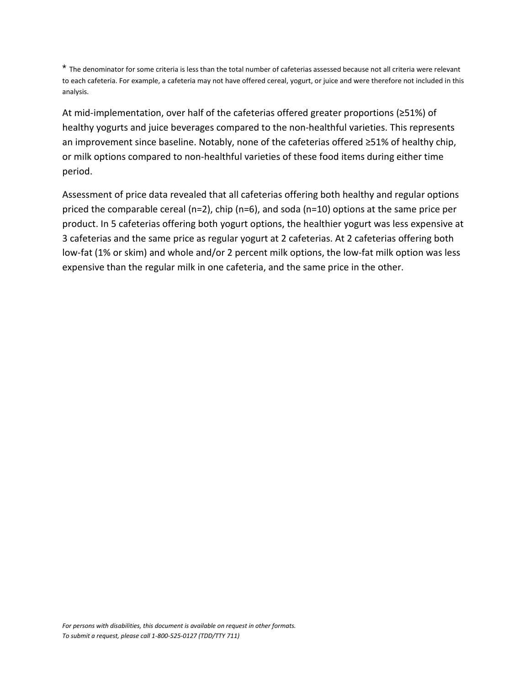\* The denominator for some criteria is less than the total number of cafeterias assessed because not all criteria were relevant to each cafeteria. For example, a cafeteria may not have offered cereal, yogurt, or juice and were therefore not included in this analysis.

At mid-implementation, over half of the cafeterias offered greater proportions (≥51%) of healthy yogurts and juice beverages compared to the non-healthful varieties. This represents an improvement since baseline. Notably, none of the cafeterias offered ≥51% of healthy chip, or milk options compared to non-healthful varieties of these food items during either time period.

Assessment of price data revealed that all cafeterias offering both healthy and regular options priced the comparable cereal (n=2), chip (n=6), and soda (n=10) options at the same price per product. In 5 cafeterias offering both yogurt options, the healthier yogurt was less expensive at 3 cafeterias and the same price as regular yogurt at 2 cafeterias. At 2 cafeterias offering both low-fat (1% or skim) and whole and/or 2 percent milk options, the low-fat milk option was less expensive than the regular milk in one cafeteria, and the same price in the other.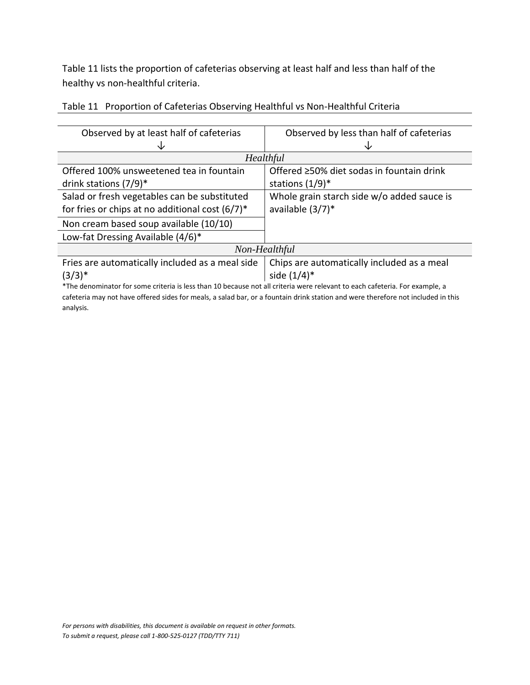Table 11 lists the proportion of cafeterias observing at least half and less than half of the healthy vs non-healthful criteria.

| Observed by at least half of cafeterias                                                                                          | Observed by less than half of cafeterias   |  |
|----------------------------------------------------------------------------------------------------------------------------------|--------------------------------------------|--|
|                                                                                                                                  |                                            |  |
|                                                                                                                                  | Healthful                                  |  |
| Offered 100% unsweetened tea in fountain                                                                                         | Offered ≥50% diet sodas in fountain drink  |  |
| drink stations $(7/9)^*$                                                                                                         | stations $(1/9)^*$                         |  |
| Salad or fresh vegetables can be substituted                                                                                     | Whole grain starch side w/o added sauce is |  |
| for fries or chips at no additional cost $(6/7)^*$                                                                               | available (3/7)*                           |  |
| Non cream based soup available (10/10)                                                                                           |                                            |  |
| Low-fat Dressing Available (4/6)*                                                                                                |                                            |  |
|                                                                                                                                  | Non-Healthful                              |  |
| Fries are automatically included as a meal side                                                                                  | Chips are automatically included as a meal |  |
| $(3/3)*$                                                                                                                         | side $(1/4)^*$                             |  |
| *The denominator for some criteria is less than 10 because not all criteria were relevant to each cafeteria. For example, a      |                                            |  |
| cafeteria may not have offered sides for meals, a salad bar, or a fountain drink station and were therefore not included in this |                                            |  |
| analysis.                                                                                                                        |                                            |  |

| Table 11 Proportion of Cafeterias Observing Healthful vs Non-Healthful Criteria |  |
|---------------------------------------------------------------------------------|--|
|                                                                                 |  |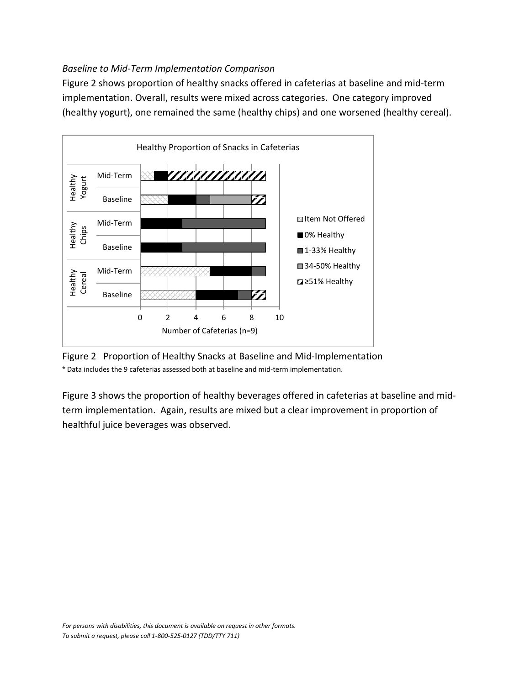#### *Baseline to Mid-Term Implementation Comparison*

Figure 2 shows proportion of healthy snacks offered in cafeterias at baseline and mid-term implementation. Overall, results were mixed across categories. One category improved (healthy yogurt), one remained the same (healthy chips) and one worsened (healthy cereal).





Figure 3 shows the proportion of healthy beverages offered in cafeterias at baseline and midterm implementation. Again, results are mixed but a clear improvement in proportion of healthful juice beverages was observed.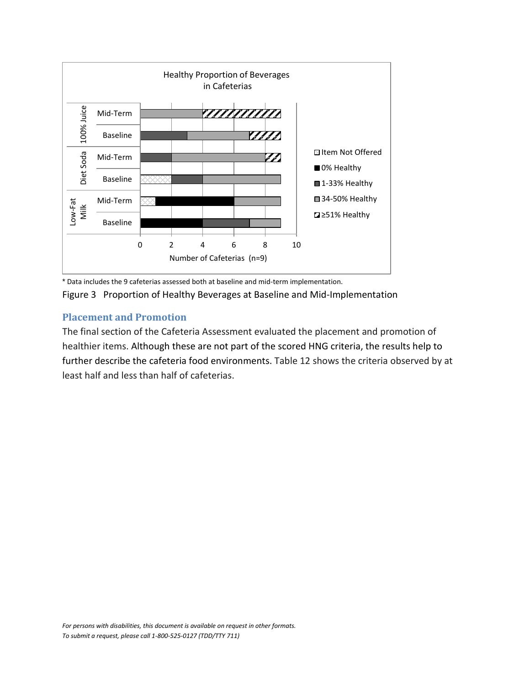

\* Data includes the 9 cafeterias assessed both at baseline and mid-term implementation.

Figure 3 Proportion of Healthy Beverages at Baseline and Mid-Implementation

#### <span id="page-26-0"></span>**Placement and Promotion**

The final section of the Cafeteria Assessment evaluated the placement and promotion of healthier items. Although these are not part of the scored HNG criteria, the results help to further describe the cafeteria food environments. Table 12 shows the criteria observed by at least half and less than half of cafeterias.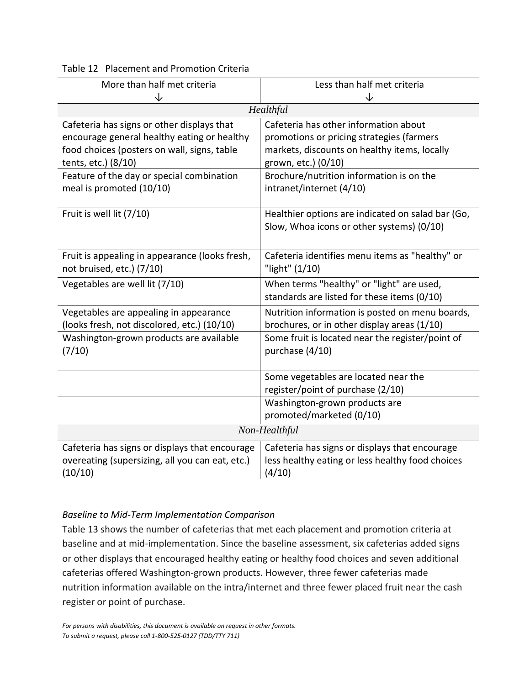#### Table 12 Placement and Promotion Criteria

| More than half met criteria                                                                                                                                     | Less than half met criteria                                                                                                                               |  |  |
|-----------------------------------------------------------------------------------------------------------------------------------------------------------------|-----------------------------------------------------------------------------------------------------------------------------------------------------------|--|--|
| ↓                                                                                                                                                               | ↓                                                                                                                                                         |  |  |
|                                                                                                                                                                 | Healthful                                                                                                                                                 |  |  |
| Cafeteria has signs or other displays that<br>encourage general healthy eating or healthy<br>food choices (posters on wall, signs, table<br>tents, etc.) (8/10) | Cafeteria has other information about<br>promotions or pricing strategies (farmers<br>markets, discounts on healthy items, locally<br>grown, etc.) (0/10) |  |  |
| Feature of the day or special combination<br>meal is promoted (10/10)                                                                                           | Brochure/nutrition information is on the<br>intranet/internet (4/10)                                                                                      |  |  |
| Fruit is well lit (7/10)                                                                                                                                        | Healthier options are indicated on salad bar (Go,<br>Slow, Whoa icons or other systems) (0/10)                                                            |  |  |
| Fruit is appealing in appearance (looks fresh,<br>not bruised, etc.) (7/10)                                                                                     | Cafeteria identifies menu items as "healthy" or<br>"light" (1/10)                                                                                         |  |  |
| Vegetables are well lit (7/10)                                                                                                                                  | When terms "healthy" or "light" are used,<br>standards are listed for these items (0/10)                                                                  |  |  |
| Vegetables are appealing in appearance<br>(looks fresh, not discolored, etc.) (10/10)                                                                           | Nutrition information is posted on menu boards,<br>brochures, or in other display areas (1/10)                                                            |  |  |
| Washington-grown products are available<br>(7/10)                                                                                                               | Some fruit is located near the register/point of<br>purchase (4/10)                                                                                       |  |  |
|                                                                                                                                                                 | Some vegetables are located near the<br>register/point of purchase (2/10)                                                                                 |  |  |
|                                                                                                                                                                 | Washington-grown products are<br>promoted/marketed (0/10)                                                                                                 |  |  |
| Non-Healthful                                                                                                                                                   |                                                                                                                                                           |  |  |
| Cafeteria has signs or displays that encourage<br>overeating (supersizing, all you can eat, etc.)<br>(10/10)                                                    | Cafeteria has signs or displays that encourage<br>less healthy eating or less healthy food choices<br>(4/10)                                              |  |  |

#### *Baseline to Mid-Term Implementation Comparison*

Table 13 shows the number of cafeterias that met each placement and promotion criteria at baseline and at mid-implementation. Since the baseline assessment, six cafeterias added signs or other displays that encouraged healthy eating or healthy food choices and seven additional cafeterias offered Washington-grown products. However, three fewer cafeterias made nutrition information available on the intra/internet and three fewer placed fruit near the cash register or point of purchase.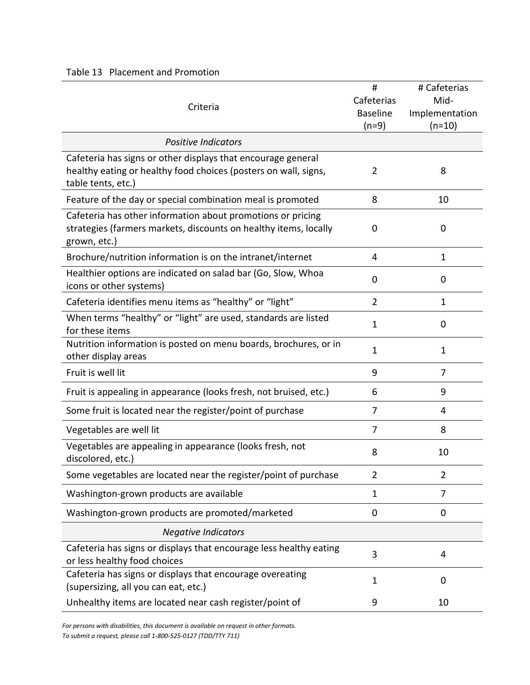#### Table 13 Placement and Promotion

|                                                                                                    | #               | # Cafeterias   |
|----------------------------------------------------------------------------------------------------|-----------------|----------------|
| Criteria                                                                                           | Cafeterias      | Mid-           |
|                                                                                                    | <b>Baseline</b> | Implementation |
|                                                                                                    | $(n=9)$         | $(n=10)$       |
| <b>Positive Indicators</b>                                                                         |                 |                |
| Cafeteria has signs or other displays that encourage general                                       |                 |                |
| healthy eating or healthy food choices (posters on wall, signs,                                    | 2               | 8              |
| table tents, etc.)                                                                                 |                 |                |
| Feature of the day or special combination meal is promoted                                         | 8               | 10             |
| Cafeteria has other information about promotions or pricing                                        |                 |                |
| strategies (farmers markets, discounts on healthy items, locally                                   | 0               | $\mathbf 0$    |
| grown, etc.)                                                                                       |                 |                |
| Brochure/nutrition information is on the intranet/internet                                         | 4               | $\mathbf{1}$   |
| Healthier options are indicated on salad bar (Go, Slow, Whoa                                       | 0               | 0              |
| icons or other systems)                                                                            |                 |                |
| Cafeteria identifies menu items as "healthy" or "light"                                            | $\overline{2}$  | $\mathbf{1}$   |
| When terms "healthy" or "light" are used, standards are listed                                     | $\mathbf{1}$    | 0              |
| for these items                                                                                    |                 |                |
| Nutrition information is posted on menu boards, brochures, or in                                   | 1               | $\mathbf{1}$   |
| other display areas                                                                                |                 |                |
| Fruit is well lit                                                                                  | 9               | 7              |
| Fruit is appealing in appearance (looks fresh, not bruised, etc.)                                  | 6               | 9              |
| Some fruit is located near the register/point of purchase                                          | 7               | 4              |
| Vegetables are well lit                                                                            | 7               | 8              |
| Vegetables are appealing in appearance (looks fresh, not                                           | 8               | 10             |
| discolored, etc.)                                                                                  |                 |                |
| Some vegetables are located near the register/point of purchase                                    | 2               | 2              |
| Washington-grown products are available                                                            | $\mathbf{1}$    | 7              |
| Washington-grown products are promoted/marketed                                                    | 0               | $\mathbf 0$    |
| <b>Negative Indicators</b>                                                                         |                 |                |
| Cafeteria has signs or displays that encourage less healthy eating<br>or less healthy food choices | 3               | 4              |
| Cafeteria has signs or displays that encourage overeating                                          | 1               | 0              |
| (supersizing, all you can eat, etc.)                                                               |                 |                |
| Unhealthy items are located near cash register/point of                                            | 9               | 10             |

*For persons with disabilities, this document is available on request in other formats. To submit a request, please call 1-800-525-0127 (TDD/TTY 711)*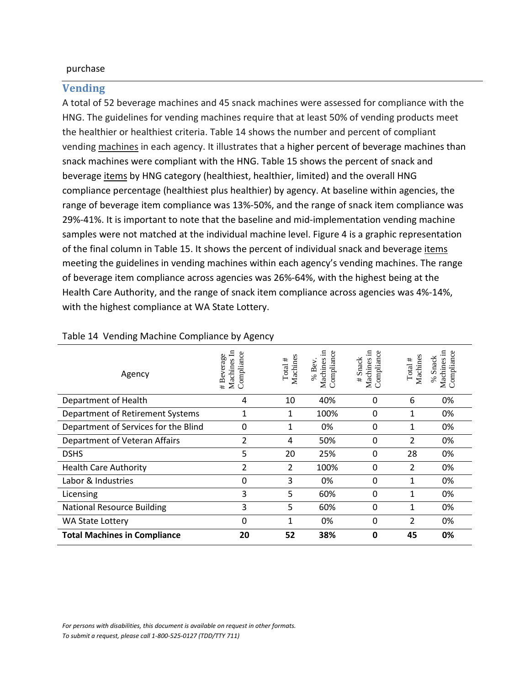#### purchase

#### <span id="page-29-0"></span>**Vending**

A total of 52 beverage machines and 45 snack machines were assessed for compliance with the HNG. The guidelines for vending machines require that at least 50% of vending products meet the healthier or healthiest criteria. Table 14 shows the number and percent of compliant vending machines in each agency. It illustrates that a higher percent of beverage machines than snack machines were compliant with the HNG. Table 15 shows the percent of snack and beverage items by HNG category (healthiest, healthier, limited) and the overall HNG compliance percentage (healthiest plus healthier) by agency. At baseline within agencies, the range of beverage item compliance was 13%-50%, and the range of snack item compliance was 29%-41%. It is important to note that the baseline and mid-implementation vending machine samples were not matched at the individual machine level. Figure 4 is a graphic representation of the final column in Table 15. It shows the percent of individual snack and beverage items meeting the guidelines in vending machines within each agency's vending machines. The range of beverage item compliance across agencies was 26%-64%, with the highest being at the Health Care Authority, and the range of snack item compliance across agencies was 4%-14%, with the highest compliance at WA State Lottery.

| Agency                               | Machines In<br>Compliance<br># Beverage | Machines<br>Total $#$ | - 드<br>Compliance<br>Machines<br>% Bev | -日<br>ပိ<br># Snack<br>Machines<br>Complian | Machines<br>Total $\#$ | 日<br>Compliance<br>% Snack<br>Machines |
|--------------------------------------|-----------------------------------------|-----------------------|----------------------------------------|---------------------------------------------|------------------------|----------------------------------------|
| Department of Health                 | 4                                       | 10                    | 40%                                    | 0                                           | 6                      | 0%                                     |
| Department of Retirement Systems     | 1                                       |                       | 100%                                   | 0                                           | 1                      | 0%                                     |
| Department of Services for the Blind | 0                                       | 1                     | 0%                                     | 0                                           | 1                      | 0%                                     |
| Department of Veteran Affairs        | 2                                       | 4                     | 50%                                    | 0                                           | 2                      | 0%                                     |
| <b>DSHS</b>                          | 5                                       | 20                    | 25%                                    | 0                                           | 28                     | 0%                                     |
| <b>Health Care Authority</b>         | 2                                       | $\overline{2}$        | 100%                                   | 0                                           | 2                      | 0%                                     |
| Labor & Industries                   | 0                                       | 3                     | 0%                                     | 0                                           | 1                      | 0%                                     |
| Licensing                            | 3                                       | 5                     | 60%                                    | 0                                           | 1                      | 0%                                     |
| <b>National Resource Building</b>    | 3                                       | 5                     | 60%                                    | 0                                           | 1                      | 0%                                     |
| WA State Lottery                     | 0                                       | 1                     | 0%                                     | 0                                           | 2                      | 0%                                     |
| <b>Total Machines in Compliance</b>  | 20                                      | 52                    | 38%                                    | 0                                           | 45                     | 0%                                     |

#### Table 14 Vending Machine Compliance by Agency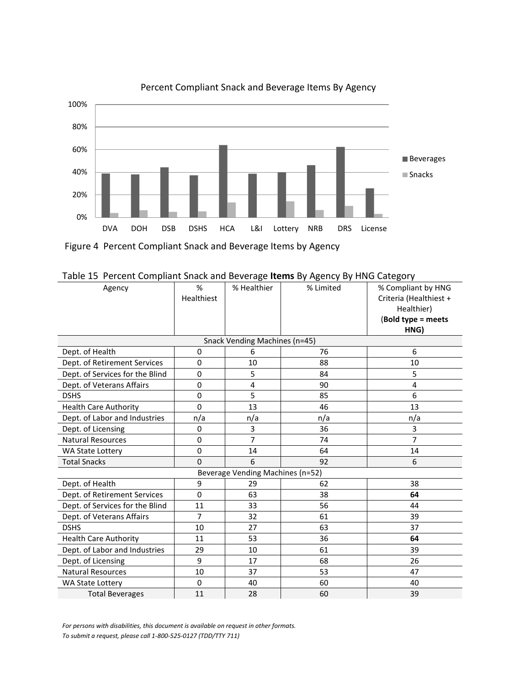

Percent Compliant Snack and Beverage Items By Agency

Figure 4 Percent Compliant Snack and Beverage Items by Agency

| Table 15. Percent Compilant Shack and Beverage <b>items</b> by Agency by HivG Category |                |                               |           |                        |  |
|----------------------------------------------------------------------------------------|----------------|-------------------------------|-----------|------------------------|--|
| Agency                                                                                 | %              | % Healthier                   | % Limited | % Compliant by HNG     |  |
|                                                                                        | Healthiest     |                               |           | Criteria (Healthiest + |  |
|                                                                                        |                |                               |           | Healthier)             |  |
|                                                                                        |                |                               |           | (Bold type = meets     |  |
|                                                                                        |                |                               |           | HNG)                   |  |
|                                                                                        |                | Snack Vending Machines (n=45) |           |                        |  |
| Dept. of Health                                                                        | 0              | 6                             | 76        | 6                      |  |
| Dept. of Retirement Services                                                           | 0              | 10                            | 88        | 10                     |  |
| Dept. of Services for the Blind                                                        | 0              | 5                             | 84        | 5                      |  |
| Dept. of Veterans Affairs                                                              | 0              | 4                             | 90        | 4                      |  |
| <b>DSHS</b>                                                                            | 0              | 5                             | 85        | 6                      |  |
| <b>Health Care Authority</b>                                                           | $\Omega$       | 13                            | 46        | 13                     |  |
| Dept. of Labor and Industries                                                          | n/a            | n/a                           | n/a       | n/a                    |  |
| Dept. of Licensing                                                                     | 0              | 3                             | 36        | 3                      |  |
| <b>Natural Resources</b>                                                               | 0              | $\overline{7}$                | 74        | 7                      |  |
| <b>WA State Lottery</b>                                                                | 0              | 14                            | 64        | 14                     |  |
| <b>Total Snacks</b>                                                                    | 0              | 6                             | 92        | 6                      |  |
| Beverage Vending Machines (n=52)                                                       |                |                               |           |                        |  |
| Dept. of Health                                                                        | 9              | 29                            | 62        | 38                     |  |
| Dept. of Retirement Services                                                           | $\Omega$       | 63                            | 38        | 64                     |  |
| Dept. of Services for the Blind                                                        | 11             | 33                            | 56        | 44                     |  |
| Dept. of Veterans Affairs                                                              | $\overline{7}$ | 32                            | 61        | 39                     |  |
| <b>DSHS</b>                                                                            | 10             | 27                            | 63        | 37                     |  |
| <b>Health Care Authority</b>                                                           | 11             | 53                            | 36        | 64                     |  |
| Dept. of Labor and Industries                                                          | 29             | 10                            | 61        | 39                     |  |
| Dept. of Licensing                                                                     | 9              | 17                            | 68        | 26                     |  |
| <b>Natural Resources</b>                                                               | 10             | 37                            | 53        | 47                     |  |
| <b>WA State Lottery</b>                                                                | $\Omega$       | 40                            | 60        | 40                     |  |

Total Beverages 11 1 28 60 39

|  | Table 15 Percent Compliant Snack and Beverage Items By Agency By HNG Category |
|--|-------------------------------------------------------------------------------|
|--|-------------------------------------------------------------------------------|

*For persons with disabilities, this document is available on request in other formats. To submit a request, please call 1-800-525-0127 (TDD/TTY 711)*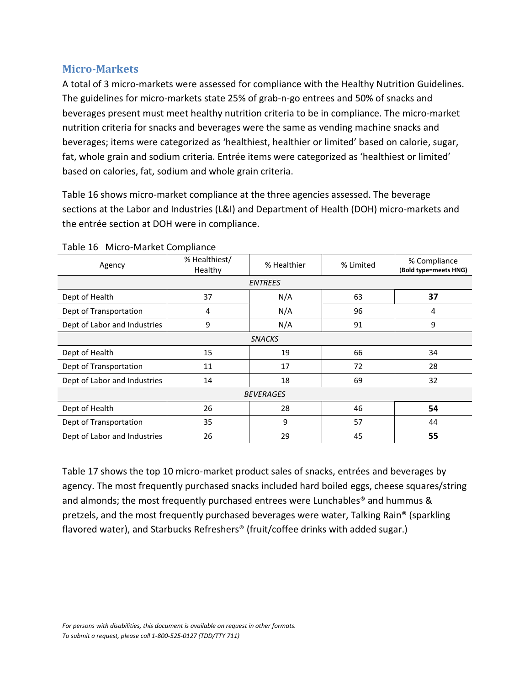### <span id="page-31-0"></span>**Micro-Markets**

A total of 3 micro-markets were assessed for compliance with the Healthy Nutrition Guidelines. The guidelines for micro-markets state 25% of grab-n-go entrees and 50% of snacks and beverages present must meet healthy nutrition criteria to be in compliance. The micro-market nutrition criteria for snacks and beverages were the same as vending machine snacks and beverages; items were categorized as 'healthiest, healthier or limited' based on calorie, sugar, fat, whole grain and sodium criteria. Entrée items were categorized as 'healthiest or limited' based on calories, fat, sodium and whole grain criteria.

Table 16 shows micro-market compliance at the three agencies assessed. The beverage sections at the Labor and Industries (L&I) and Department of Health (DOH) micro-markets and the entrée section at DOH were in compliance.

| Agency                       | % Healthiest/<br>Healthy | % Healthier    | % Limited | % Compliance<br>(Bold type=meets HNG) |  |
|------------------------------|--------------------------|----------------|-----------|---------------------------------------|--|
|                              |                          | <b>ENTREES</b> |           |                                       |  |
| Dept of Health               | 37                       | N/A            | 63        | 37                                    |  |
| Dept of Transportation       | 4                        | N/A            | 96        | 4                                     |  |
| Dept of Labor and Industries | 9                        | N/A            | 91        | 9                                     |  |
|                              |                          | <b>SNACKS</b>  |           |                                       |  |
| Dept of Health               | 15                       | 19             | 66        | 34                                    |  |
| Dept of Transportation       | 11                       | 17             | 72        | 28                                    |  |
| Dept of Labor and Industries | 14                       | 18             | 69        | 32                                    |  |
| <b>BEVERAGES</b>             |                          |                |           |                                       |  |
| Dept of Health               | 26                       | 28             | 46        | 54                                    |  |
| Dept of Transportation       | 35                       | 9              | 57        | 44                                    |  |
| Dept of Labor and Industries | 26                       | 29             | 45        | 55                                    |  |

#### Table 16 Micro-Market Compliance

Table 17 shows the top 10 micro-market product sales of snacks, entrées and beverages by agency. The most frequently purchased snacks included hard boiled eggs, cheese squares/string and almonds; the most frequently purchased entrees were Lunchables<sup>®</sup> and hummus & pretzels, and the most frequently purchased beverages were water, Talking Rain® (sparkling flavored water), and Starbucks Refreshers® (fruit/coffee drinks with added sugar.)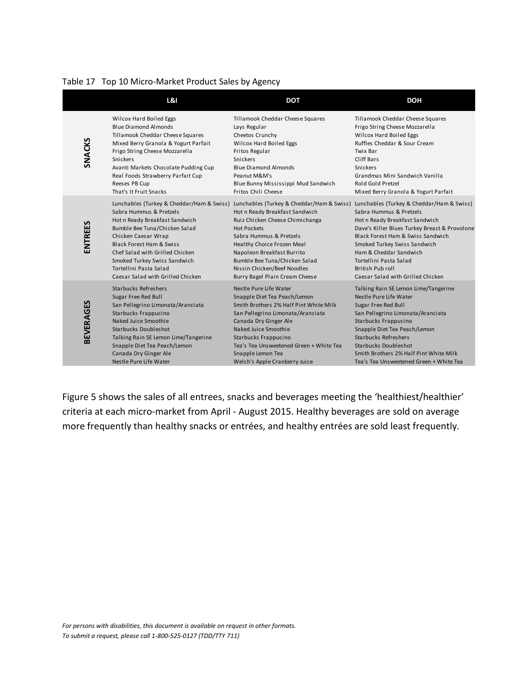| Table 17 Top 10 Micro-Market Product Sales by Agency |  |
|------------------------------------------------------|--|
|                                                      |  |

|                  | <b>L&amp;I</b>                            | <b>DOT</b>                                | <b>DOH</b>                                    |
|------------------|-------------------------------------------|-------------------------------------------|-----------------------------------------------|
| SNACKS           | Wilcox Hard Boiled Eggs                   | Tillamook Cheddar Cheese Squares          | Tillamook Cheddar Cheese Squares              |
|                  | <b>Blue Diamond Almonds</b>               | Lays Regular                              | Frigo String Cheese Mozzarella                |
|                  | Tillamook Cheddar Cheese Squares          | Cheetos Crunchy                           | Wilcox Hard Boiled Eggs                       |
|                  | Mixed Berry Granola & Yogurt Parfait      | Wilcox Hard Boiled Eggs                   | Ruffles Cheddar & Sour Cream                  |
|                  | Frigo String Cheese Mozzarella            | Fritos Regular                            | Twix Bar                                      |
|                  | Snickers                                  | Snickers                                  | Cliff Bars                                    |
|                  | Avanti Markets Chocolate Pudding Cup      | Blue Diamond Almonds                      | Snickers                                      |
|                  | Real Foods Strawberry Parfait Cup         | Peanut M&M's                              | Grandmas Mini Sandwich Vanilla                |
|                  | Reeses PB Cup                             | Blue Bunny Mississippi Mud Sandwich       | Rold Gold Pretzel                             |
|                  | That's It Fruit Snacks                    | Fritos Chili Cheese                       | Mixed Berry Granola & Yogurt Parfait          |
| ENTREES          | Lunchables (Turkey & Cheddar/Ham & Swiss) | Lunchables (Turkey & Cheddar/Ham & Swiss) | Lunchables (Turkey & Cheddar/Ham & Swiss)     |
|                  | Sabra Hummus & Pretzels                   | Hot n Ready Breakfast Sandwich            | Sabra Hummus & Pretzels                       |
|                  | Hot n Ready Breakfast Sandwich            | Ruiz Chicken Cheese Chimichanga           | Hot n Ready Breakfast Sandwich                |
|                  | Bumble Bee Tuna/Chicken Salad             | <b>Hot Pockets</b>                        | Dave's Killer Blues Turkey Breast & Provolone |
|                  | Chicken Caesar Wrap                       | Sabra Hummus & Pretzels                   | Black Forest Ham & Swiss Sandwich             |
|                  | <b>Black Forest Ham &amp; Swiss</b>       | Healthy Choice Frozen Meal                | Smoked Turkey Swiss Sandwich                  |
|                  | Chef Salad with Grilled Chicken           | Napoleon Breakfast Burrito                | Ham & Cheddar Sandwich                        |
|                  | Smoked Turkey Swiss Sandwich              | Bumble Bee Tuna/Chicken Salad             | Tortellini Pasta Salad                        |
|                  | Tortellini Pasta Salad                    | Nissin Chicken/Beef Noodles               | British Pub roll                              |
|                  | Caesar Salad with Grilled Chicken         | Burry Bagel Plain Cream Cheese            | Caesar Salad with Grilled Chicken             |
| <b>BEVERAGES</b> | <b>Starbucks Refreshers</b>               | Nestle Pure Life Water                    | Talking Rain SE Lemon Lime/Tangerine          |
|                  | Sugar Free Red Bull                       | Snapple Diet Tea Peach/Lemon              | Nestle Pure Life Water                        |
|                  | San Pellegrino Limonata/Aranciata         | Smith Brothers 2% Half Pint White Milk    | Sugar Free Red Bull                           |
|                  | Starbucks Frappucino                      | San Pellegrino Limonata/Aranciata         | San Pellegrino Limonata/Aranciata             |
|                  | Naked Juice Smoothie                      | Canada Dry Ginger Ale                     | Starbucks Frappucino                          |
|                  | Starbucks Doubleshot                      | Naked Juice Smoothie                      | Snapple Diet Tea Peach/Lemon                  |
|                  | Talking Rain SE Lemon Lime/Tangerine      | Starbucks Frappucino                      | <b>Starbucks Refreshers</b>                   |
|                  | Snapple Diet Tea Peach/Lemon              | Tea's Tea Unsweetened Green + White Tea   | Starbucks Doubleshot                          |
|                  | Canada Dry Ginger Ale                     | Snapple Lemon Tea                         | Smith Brothers 2% Half Pint White Milk        |
|                  | Nestle Pure Life Water                    | Welch's Apple Cranberry Juice             | Tea's Tea Unsweetened Green + White Tea       |

Figure 5 shows the sales of all entrees, snacks and beverages meeting the 'healthiest/healthier' criteria at each micro-market from April - August 2015. Healthy beverages are sold on average more frequently than healthy snacks or entrées, and healthy entrées are sold least frequently.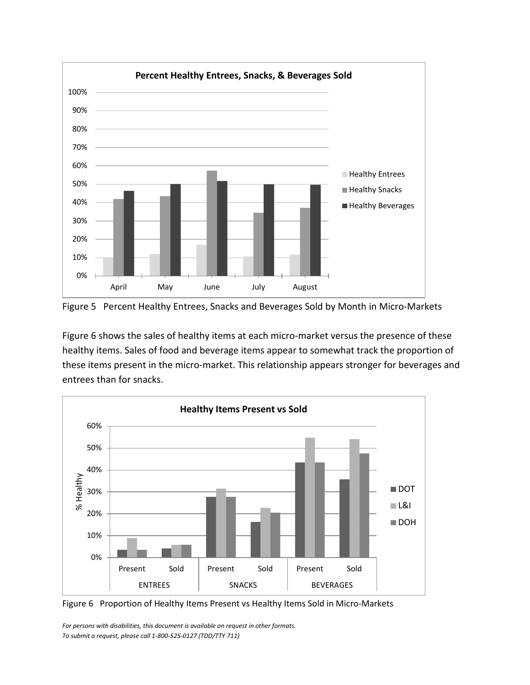

Figure 5 Percent Healthy Entrees, Snacks and Beverages Sold by Month in Micro-Markets

Figure 6 shows the sales of healthy items at each micro-market versus the presence of these healthy items. Sales of food and beverage items appear to somewhat track the proportion of these items present in the micro-market. This relationship appears stronger for beverages and entrees than for snacks.





*For persons with disabilities, this document is available on request in other formats. To submit a request, please call 1-800-525-0127 (TDD/TTY 711)*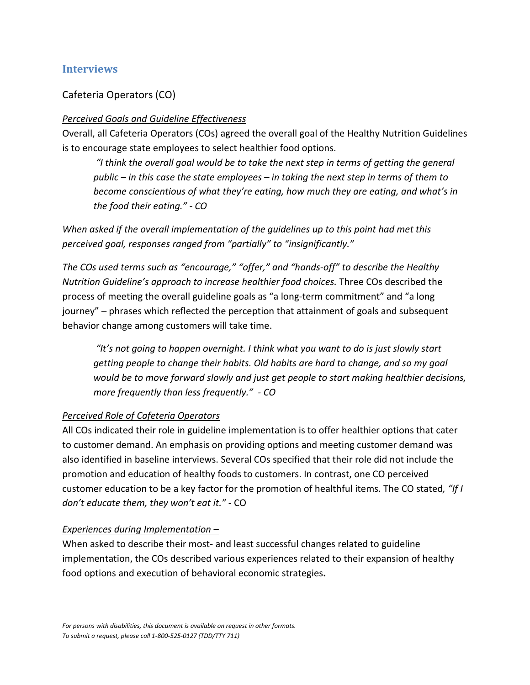### <span id="page-34-0"></span>**Interviews**

#### Cafeteria Operators (CO)

#### *Perceived Goals and Guideline Effectiveness*

Overall, all Cafeteria Operators (COs) agreed the overall goal of the Healthy Nutrition Guidelines is to encourage state employees to select healthier food options.

*"I think the overall goal would be to take the next step in terms of getting the general public – in this case the state employees – in taking the next step in terms of them to become conscientious of what they're eating, how much they are eating, and what's in the food their eating." - CO*

*When asked if the overall implementation of the guidelines up to this point had met this perceived goal, responses ranged from "partially" to "insignificantly."* 

*The COs used terms such as "encourage," "offer," and "hands-off" to describe the Healthy Nutrition Guideline's approach to increase healthier food choices.* Three COs described the process of meeting the overall guideline goals as "a long-term commitment" and "a long journey" – phrases which reflected the perception that attainment of goals and subsequent behavior change among customers will take time.

*"It's not going to happen overnight. I think what you want to do is just slowly start getting people to change their habits. Old habits are hard to change, and so my goal would be to move forward slowly and just get people to start making healthier decisions, more frequently than less frequently." - CO*

#### *Perceived Role of Cafeteria Operators*

All COs indicated their role in guideline implementation is to offer healthier options that cater to customer demand. An emphasis on providing options and meeting customer demand was also identified in baseline interviews. Several COs specified that their role did not include the promotion and education of healthy foods to customers. In contrast, one CO perceived customer education to be a key factor for the promotion of healthful items. The CO stated*, "If I don't educate them, they won't eat it."* - CO

#### *Experiences during Implementation –*

When asked to describe their most- and least successful changes related to guideline implementation, the COs described various experiences related to their expansion of healthy food options and execution of behavioral economic strategies**.**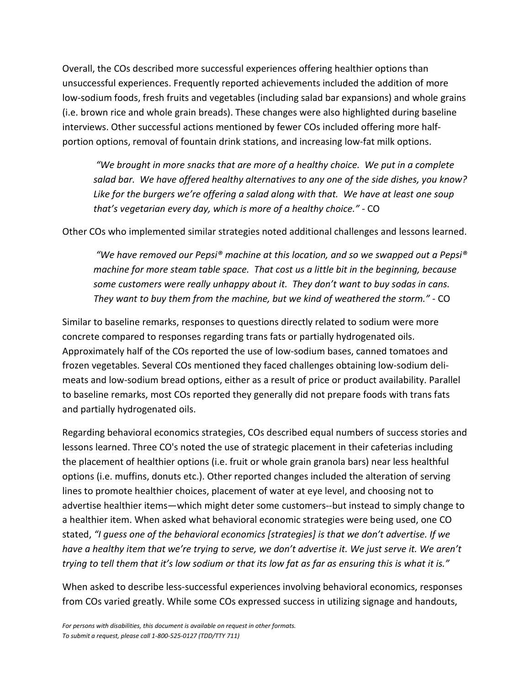Overall, the COs described more successful experiences offering healthier options than unsuccessful experiences. Frequently reported achievements included the addition of more low-sodium foods, fresh fruits and vegetables (including salad bar expansions) and whole grains (i.e. brown rice and whole grain breads). These changes were also highlighted during baseline interviews. Other successful actions mentioned by fewer COs included offering more halfportion options, removal of fountain drink stations, and increasing low-fat milk options.

*"We brought in more snacks that are more of a healthy choice. We put in a complete salad bar. We have offered healthy alternatives to any one of the side dishes, you know? Like for the burgers we're offering a salad along with that. We have at least one soup that's vegetarian every day, which is more of a healthy choice."* - CO

Other COs who implemented similar strategies noted additional challenges and lessons learned.

*"We have removed our Pepsi® machine at this location, and so we swapped out a Pepsi® machine for more steam table space. That cost us a little bit in the beginning, because some customers were really unhappy about it. They don't want to buy sodas in cans. They want to buy them from the machine, but we kind of weathered the storm."* - CO

Similar to baseline remarks, responses to questions directly related to sodium were more concrete compared to responses regarding trans fats or partially hydrogenated oils. Approximately half of the COs reported the use of low-sodium bases, canned tomatoes and frozen vegetables. Several COs mentioned they faced challenges obtaining low-sodium delimeats and low-sodium bread options, either as a result of price or product availability. Parallel to baseline remarks, most COs reported they generally did not prepare foods with trans fats and partially hydrogenated oils.

Regarding behavioral economics strategies, COs described equal numbers of success stories and lessons learned. Three CO's noted the use of strategic placement in their cafeterias including the placement of healthier options (i.e. fruit or whole grain granola bars) near less healthful options (i.e. muffins, donuts etc.). Other reported changes included the alteration of serving lines to promote healthier choices, placement of water at eye level, and choosing not to advertise healthier items—which might deter some customers--but instead to simply change to a healthier item. When asked what behavioral economic strategies were being used, one CO stated, *"I guess one of the behavioral economics [strategies] is that we don't advertise. If we have a healthy item that we're trying to serve, we don't advertise it. We just serve it. We aren't trying to tell them that it's low sodium or that its low fat as far as ensuring this is what it is."* 

When asked to describe less-successful experiences involving behavioral economics, responses from COs varied greatly. While some COs expressed success in utilizing signage and handouts,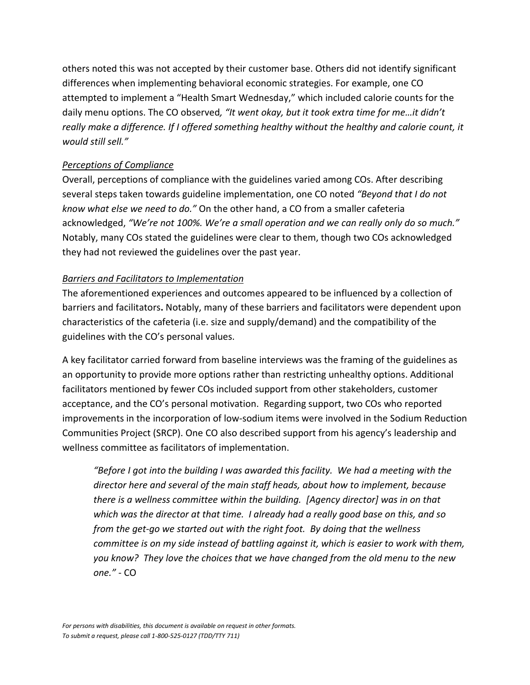others noted this was not accepted by their customer base. Others did not identify significant differences when implementing behavioral economic strategies. For example, one CO attempted to implement a "Health Smart Wednesday," which included calorie counts for the daily menu options. The CO observed*, "It went okay, but it took extra time for me…it didn't really make a difference. If I offered something healthy without the healthy and calorie count, it would still sell."*

#### *Perceptions of Compliance*

Overall, perceptions of compliance with the guidelines varied among COs. After describing several steps taken towards guideline implementation, one CO noted *"Beyond that I do not know what else we need to do."* On the other hand, a CO from a smaller cafeteria acknowledged, *"We're not 100%. We're a small operation and we can really only do so much."* Notably, many COs stated the guidelines were clear to them, though two COs acknowledged they had not reviewed the guidelines over the past year.

#### *Barriers and Facilitators to Implementation*

The aforementioned experiences and outcomes appeared to be influenced by a collection of barriers and facilitators**.** Notably, many of these barriers and facilitators were dependent upon characteristics of the cafeteria (i.e. size and supply/demand) and the compatibility of the guidelines with the CO's personal values.

A key facilitator carried forward from baseline interviews was the framing of the guidelines as an opportunity to provide more options rather than restricting unhealthy options. Additional facilitators mentioned by fewer COs included support from other stakeholders, customer acceptance, and the CO's personal motivation. Regarding support, two COs who reported improvements in the incorporation of low-sodium items were involved in the Sodium Reduction Communities Project (SRCP). One CO also described support from his agency's leadership and wellness committee as facilitators of implementation.

*"Before I got into the building I was awarded this facility. We had a meeting with the director here and several of the main staff heads, about how to implement, because there is a wellness committee within the building. [Agency director] was in on that which was the director at that time. I already had a really good base on this, and so from the get-go we started out with the right foot. By doing that the wellness committee is on my side instead of battling against it, which is easier to work with them, you know? They love the choices that we have changed from the old menu to the new one."* - CO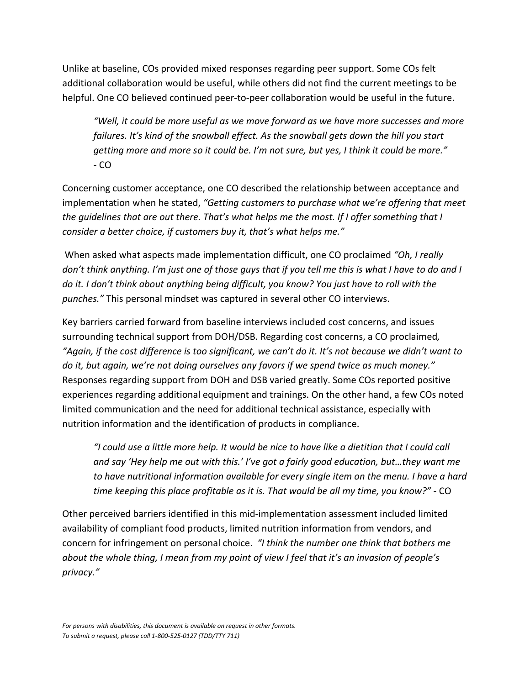Unlike at baseline, COs provided mixed responses regarding peer support. Some COs felt additional collaboration would be useful, while others did not find the current meetings to be helpful. One CO believed continued peer-to-peer collaboration would be useful in the future.

*"Well, it could be more useful as we move forward as we have more successes and more failures. It's kind of the snowball effect. As the snowball gets down the hill you start getting more and more so it could be. I'm not sure, but yes, I think it could be more."* - CO

Concerning customer acceptance, one CO described the relationship between acceptance and implementation when he stated, *"Getting customers to purchase what we're offering that meet the guidelines that are out there. That's what helps me the most. If I offer something that I consider a better choice, if customers buy it, that's what helps me."*

When asked what aspects made implementation difficult, one CO proclaimed *"Oh, I really don't think anything. I'm just one of those guys that if you tell me this is what I have to do and I do it. I don't think about anything being difficult, you know? You just have to roll with the punches."* This personal mindset was captured in several other CO interviews.

Key barriers carried forward from baseline interviews included cost concerns, and issues surrounding technical support from DOH/DSB. Regarding cost concerns, a CO proclaimed*, "Again, if the cost difference is too significant, we can't do it. It's not because we didn't want to do it, but again, we're not doing ourselves any favors if we spend twice as much money."* Responses regarding support from DOH and DSB varied greatly. Some COs reported positive experiences regarding additional equipment and trainings. On the other hand, a few COs noted limited communication and the need for additional technical assistance, especially with nutrition information and the identification of products in compliance.

*"I could use a little more help. It would be nice to have like a dietitian that I could call and say 'Hey help me out with this.' I've got a fairly good education, but…they want me to have nutritional information available for every single item on the menu. I have a hard time keeping this place profitable as it is. That would be all my time, you know?"* - CO

Other perceived barriers identified in this mid-implementation assessment included limited availability of compliant food products, limited nutrition information from vendors, and concern for infringement on personal choice. *"I think the number one think that bothers me about the whole thing, I mean from my point of view I feel that it's an invasion of people's privacy."*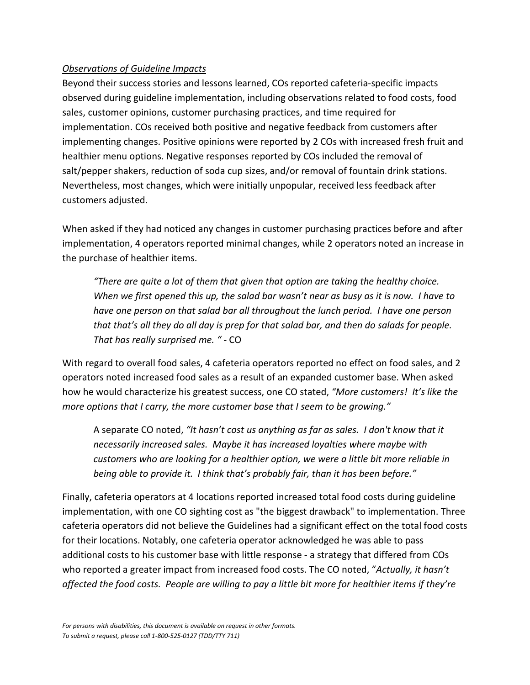#### *Observations of Guideline Impacts*

Beyond their success stories and lessons learned, COs reported cafeteria-specific impacts observed during guideline implementation, including observations related to food costs, food sales, customer opinions, customer purchasing practices, and time required for implementation. COs received both positive and negative feedback from customers after implementing changes. Positive opinions were reported by 2 COs with increased fresh fruit and healthier menu options. Negative responses reported by COs included the removal of salt/pepper shakers, reduction of soda cup sizes, and/or removal of fountain drink stations. Nevertheless, most changes, which were initially unpopular, received less feedback after customers adjusted.

When asked if they had noticed any changes in customer purchasing practices before and after implementation, 4 operators reported minimal changes, while 2 operators noted an increase in the purchase of healthier items.

*"There are quite a lot of them that given that option are taking the healthy choice. When we first opened this up, the salad bar wasn't near as busy as it is now. I have to have one person on that salad bar all throughout the lunch period. I have one person that that's all they do all day is prep for that salad bar, and then do salads for people. That has really surprised me. " -* CO

With regard to overall food sales, 4 cafeteria operators reported no effect on food sales, and 2 operators noted increased food sales as a result of an expanded customer base. When asked how he would characterize his greatest success, one CO stated, *"More customers! It's like the more options that I carry, the more customer base that I seem to be growing."*

A separate CO noted, *"It hasn't cost us anything as far as sales. I don't know that it necessarily increased sales. Maybe it has increased loyalties where maybe with customers who are looking for a healthier option, we were a little bit more reliable in being able to provide it. I think that's probably fair, than it has been before."*

Finally, cafeteria operators at 4 locations reported increased total food costs during guideline implementation, with one CO sighting cost as "the biggest drawback" to implementation. Three cafeteria operators did not believe the Guidelines had a significant effect on the total food costs for their locations. Notably, one cafeteria operator acknowledged he was able to pass additional costs to his customer base with little response - a strategy that differed from COs who reported a greater impact from increased food costs. The CO noted, "*Actually, it hasn't affected the food costs. People are willing to pay a little bit more for healthier items if they're*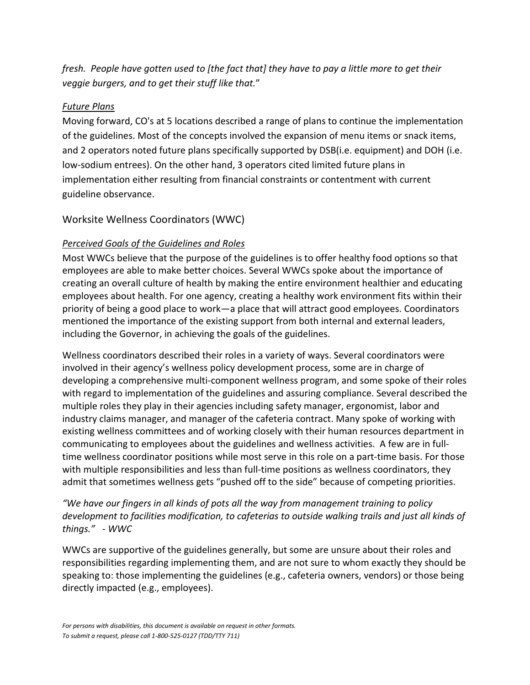*fresh. People have gotten used to [the fact that] they have to pay a little more to get their veggie burgers, and to get their stuff like that.*"

#### *Future Plans*

Moving forward, CO's at 5 locations described a range of plans to continue the implementation of the guidelines. Most of the concepts involved the expansion of menu items or snack items, and 2 operators noted future plans specifically supported by DSB(i.e. equipment) and DOH (i.e. low-sodium entrees). On the other hand, 3 operators cited limited future plans in implementation either resulting from financial constraints or contentment with current guideline observance.

### Worksite Wellness Coordinators (WWC)

#### *Perceived Goals of the Guidelines and Roles*

Most WWCs believe that the purpose of the guidelines is to offer healthy food options so that employees are able to make better choices. Several WWCs spoke about the importance of creating an overall culture of health by making the entire environment healthier and educating employees about health. For one agency, creating a healthy work environment fits within their priority of being a good place to work—a place that will attract good employees. Coordinators mentioned the importance of the existing support from both internal and external leaders, including the Governor, in achieving the goals of the guidelines.

Wellness coordinators described their roles in a variety of ways. Several coordinators were involved in their agency's wellness policy development process, some are in charge of developing a comprehensive multi-component wellness program, and some spoke of their roles with regard to implementation of the guidelines and assuring compliance. Several described the multiple roles they play in their agencies including safety manager, ergonomist, labor and industry claims manager, and manager of the cafeteria contract. Many spoke of working with existing wellness committees and of working closely with their human resources department in communicating to employees about the guidelines and wellness activities. A few are in fulltime wellness coordinator positions while most serve in this role on a part-time basis. For those with multiple responsibilities and less than full-time positions as wellness coordinators, they admit that sometimes wellness gets "pushed off to the side" because of competing priorities.

*"We have our fingers in all kinds of pots all the way from management training to policy development to facilities modification, to cafeterias to outside walking trails and just all kinds of things." - WWC*

WWCs are supportive of the guidelines generally, but some are unsure about their roles and responsibilities regarding implementing them, and are not sure to whom exactly they should be speaking to: those implementing the guidelines (e.g., cafeteria owners, vendors) or those being directly impacted (e.g., employees).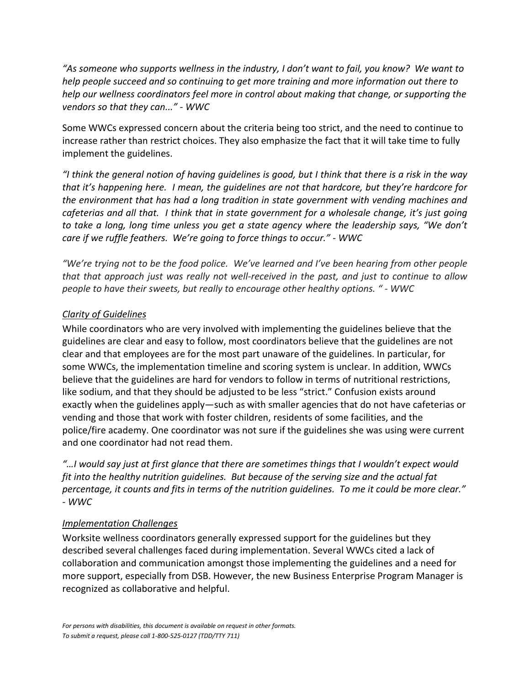*"As someone who supports wellness in the industry, I don't want to fail, you know? We want to help people succeed and so continuing to get more training and more information out there to help our wellness coordinators feel more in control about making that change, or supporting the vendors so that they can..." - WWC*

Some WWCs expressed concern about the criteria being too strict, and the need to continue to increase rather than restrict choices. They also emphasize the fact that it will take time to fully implement the guidelines.

*"I think the general notion of having guidelines is good, but I think that there is a risk in the way that it's happening here. I mean, the guidelines are not that hardcore, but they're hardcore for the environment that has had a long tradition in state government with vending machines and cafeterias and all that. I think that in state government for a wholesale change, it's just going to take a long, long time unless you get a state agency where the leadership says, "We don't care if we ruffle feathers. We're going to force things to occur." - WWC*

*"We're trying not to be the food police. We've learned and I've been hearing from other people that that approach just was really not well-received in the past, and just to continue to allow people to have their sweets, but really to encourage other healthy options. " - WWC*

#### *Clarity of Guidelines*

While coordinators who are very involved with implementing the guidelines believe that the guidelines are clear and easy to follow, most coordinators believe that the guidelines are not clear and that employees are for the most part unaware of the guidelines. In particular, for some WWCs, the implementation timeline and scoring system is unclear. In addition, WWCs believe that the guidelines are hard for vendors to follow in terms of nutritional restrictions, like sodium, and that they should be adjusted to be less "strict." Confusion exists around exactly when the guidelines apply—such as with smaller agencies that do not have cafeterias or vending and those that work with foster children, residents of some facilities, and the police/fire academy. One coordinator was not sure if the guidelines she was using were current and one coordinator had not read them.

*"…I would say just at first glance that there are sometimes things that I wouldn't expect would fit into the healthy nutrition guidelines. But because of the serving size and the actual fat percentage, it counts and fits in terms of the nutrition guidelines. To me it could be more clear." - WWC*

#### *Implementation Challenges*

Worksite wellness coordinators generally expressed support for the guidelines but they described several challenges faced during implementation. Several WWCs cited a lack of collaboration and communication amongst those implementing the guidelines and a need for more support, especially from DSB. However, the new Business Enterprise Program Manager is recognized as collaborative and helpful.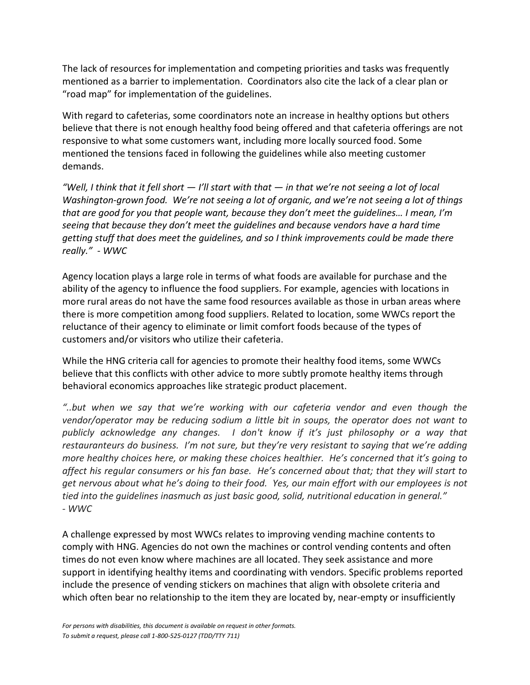The lack of resources for implementation and competing priorities and tasks was frequently mentioned as a barrier to implementation. Coordinators also cite the lack of a clear plan or "road map" for implementation of the guidelines.

With regard to cafeterias, some coordinators note an increase in healthy options but others believe that there is not enough healthy food being offered and that cafeteria offerings are not responsive to what some customers want, including more locally sourced food. Some mentioned the tensions faced in following the guidelines while also meeting customer demands.

*"Well, I think that it fell short — I'll start with that — in that we're not seeing a lot of local Washington-grown food. We're not seeing a lot of organic, and we're not seeing a lot of things that are good for you that people want, because they don't meet the guidelines… I mean, I'm seeing that because they don't meet the guidelines and because vendors have a hard time getting stuff that does meet the guidelines, and so I think improvements could be made there really." - WWC*

Agency location plays a large role in terms of what foods are available for purchase and the ability of the agency to influence the food suppliers. For example, agencies with locations in more rural areas do not have the same food resources available as those in urban areas where there is more competition among food suppliers. Related to location, some WWCs report the reluctance of their agency to eliminate or limit comfort foods because of the types of customers and/or visitors who utilize their cafeteria.

While the HNG criteria call for agencies to promote their healthy food items, some WWCs believe that this conflicts with other advice to more subtly promote healthy items through behavioral economics approaches like strategic product placement.

*"..but when we say that we're working with our cafeteria vendor and even though the vendor/operator may be reducing sodium a little bit in soups, the operator does not want to publicly acknowledge any changes. I don't know if it's just philosophy or a way that restauranteurs do business. I'm not sure, but they're very resistant to saying that we're adding more healthy choices here, or making these choices healthier. He's concerned that it's going to affect his regular consumers or his fan base. He's concerned about that; that they will start to get nervous about what he's doing to their food. Yes, our main effort with our employees is not tied into the guidelines inasmuch as just basic good, solid, nutritional education in general." - WWC*

A challenge expressed by most WWCs relates to improving vending machine contents to comply with HNG. Agencies do not own the machines or control vending contents and often times do not even know where machines are all located. They seek assistance and more support in identifying healthy items and coordinating with vendors. Specific problems reported include the presence of vending stickers on machines that align with obsolete criteria and which often bear no relationship to the item they are located by, near-empty or insufficiently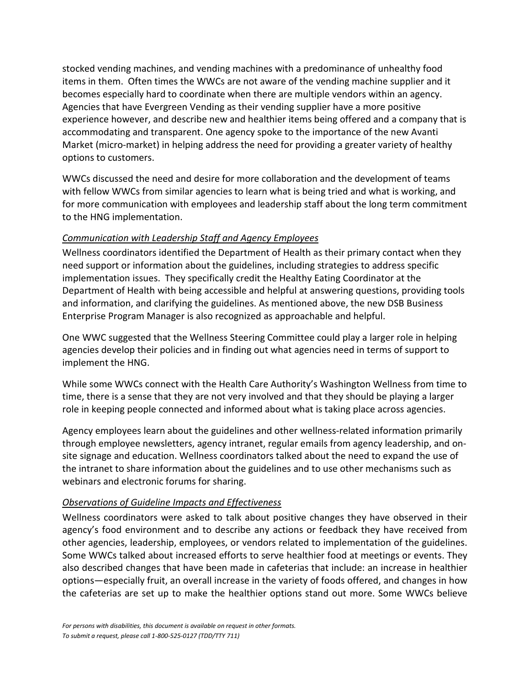stocked vending machines, and vending machines with a predominance of unhealthy food items in them. Often times the WWCs are not aware of the vending machine supplier and it becomes especially hard to coordinate when there are multiple vendors within an agency. Agencies that have Evergreen Vending as their vending supplier have a more positive experience however, and describe new and healthier items being offered and a company that is accommodating and transparent. One agency spoke to the importance of the new Avanti Market (micro-market) in helping address the need for providing a greater variety of healthy options to customers.

WWCs discussed the need and desire for more collaboration and the development of teams with fellow WWCs from similar agencies to learn what is being tried and what is working, and for more communication with employees and leadership staff about the long term commitment to the HNG implementation.

#### *Communication with Leadership Staff and Agency Employees*

Wellness coordinators identified the Department of Health as their primary contact when they need support or information about the guidelines, including strategies to address specific implementation issues. They specifically credit the Healthy Eating Coordinator at the Department of Health with being accessible and helpful at answering questions, providing tools and information, and clarifying the guidelines. As mentioned above, the new DSB Business Enterprise Program Manager is also recognized as approachable and helpful.

One WWC suggested that the Wellness Steering Committee could play a larger role in helping agencies develop their policies and in finding out what agencies need in terms of support to implement the HNG.

While some WWCs connect with the Health Care Authority's Washington Wellness from time to time, there is a sense that they are not very involved and that they should be playing a larger role in keeping people connected and informed about what is taking place across agencies.

Agency employees learn about the guidelines and other wellness-related information primarily through employee newsletters, agency intranet, regular emails from agency leadership, and onsite signage and education. Wellness coordinators talked about the need to expand the use of the intranet to share information about the guidelines and to use other mechanisms such as webinars and electronic forums for sharing.

#### *Observations of Guideline Impacts and Effectiveness*

Wellness coordinators were asked to talk about positive changes they have observed in their agency's food environment and to describe any actions or feedback they have received from other agencies, leadership, employees, or vendors related to implementation of the guidelines. Some WWCs talked about increased efforts to serve healthier food at meetings or events. They also described changes that have been made in cafeterias that include: an increase in healthier options—especially fruit, an overall increase in the variety of foods offered, and changes in how the cafeterias are set up to make the healthier options stand out more. Some WWCs believe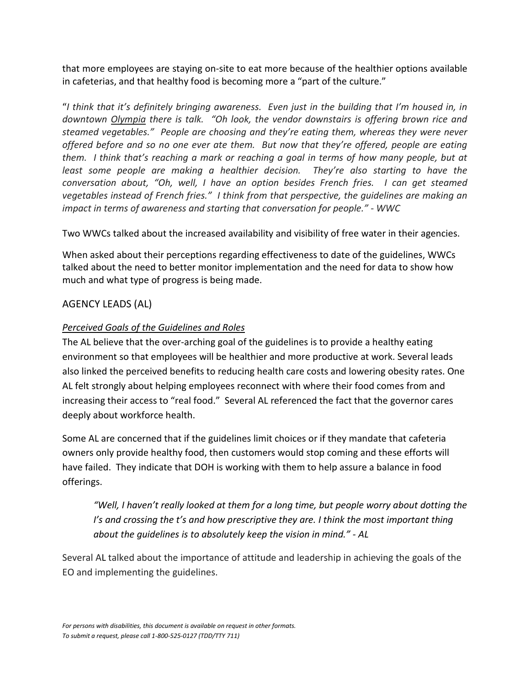that more employees are staying on-site to eat more because of the healthier options available in cafeterias, and that healthy food is becoming more a "part of the culture."

"*I think that it's definitely bringing awareness. Even just in the building that I'm housed in, in downtown [Olympia](http://en.wikipedia.org/wiki/Olympia,_Washington) there is talk. "Oh look, the vendor downstairs is offering brown rice and steamed vegetables." People are choosing and they're eating them, whereas they were never offered before and so no one ever ate them. But now that they're offered, people are eating them. I think that's reaching a mark or reaching a goal in terms of how many people, but at least some people are making a healthier decision. They're also starting to have the conversation about, "Oh, well, I have an option besides French fries. I can get steamed vegetables instead of French fries." I think from that perspective, the guidelines are making an impact in terms of awareness and starting that conversation for people." - WWC*

Two WWCs talked about the increased availability and visibility of free water in their agencies.

When asked about their perceptions regarding effectiveness to date of the guidelines, WWCs talked about the need to better monitor implementation and the need for data to show how much and what type of progress is being made.

## AGENCY LEADS (AL)

### *Perceived Goals of the Guidelines and Roles*

The AL believe that the over-arching goal of the guidelines is to provide a healthy eating environment so that employees will be healthier and more productive at work. Several leads also linked the perceived benefits to reducing health care costs and lowering obesity rates. One AL felt strongly about helping employees reconnect with where their food comes from and increasing their access to "real food." Several AL referenced the fact that the governor cares deeply about workforce health.

Some AL are concerned that if the guidelines limit choices or if they mandate that cafeteria owners only provide healthy food, then customers would stop coming and these efforts will have failed. They indicate that DOH is working with them to help assure a balance in food offerings.

*"Well, I haven't really looked at them for a long time, but people worry about dotting the I's and crossing the t's and how prescriptive they are. I think the most important thing about the guidelines is to absolutely keep the vision in mind." - AL*

Several AL talked about the importance of attitude and leadership in achieving the goals of the EO and implementing the guidelines.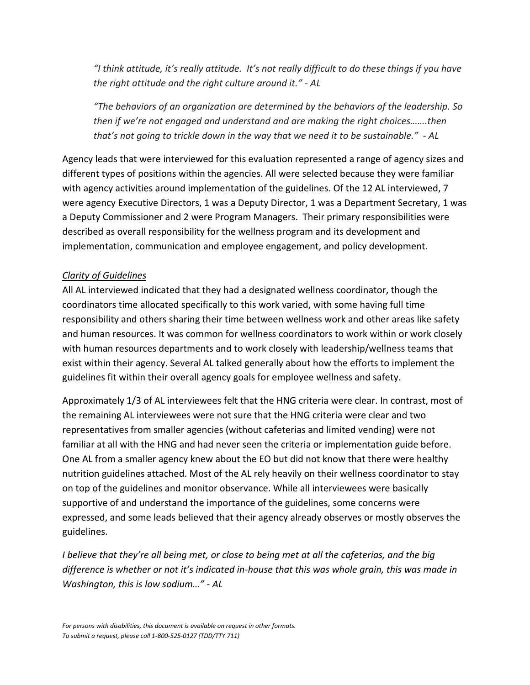*"I think attitude, it's really attitude. It's not really difficult to do these things if you have the right attitude and the right culture around it." - AL*

*"The behaviors of an organization are determined by the behaviors of the leadership. So then if we're not engaged and understand and are making the right choices…….then that's not going to trickle down in the way that we need it to be sustainable." - AL*

Agency leads that were interviewed for this evaluation represented a range of agency sizes and different types of positions within the agencies. All were selected because they were familiar with agency activities around implementation of the guidelines. Of the 12 AL interviewed, 7 were agency Executive Directors, 1 was a Deputy Director, 1 was a Department Secretary, 1 was a Deputy Commissioner and 2 were Program Managers. Their primary responsibilities were described as overall responsibility for the wellness program and its development and implementation, communication and employee engagement, and policy development.

#### *Clarity of Guidelines*

All AL interviewed indicated that they had a designated wellness coordinator, though the coordinators time allocated specifically to this work varied, with some having full time responsibility and others sharing their time between wellness work and other areas like safety and human resources. It was common for wellness coordinators to work within or work closely with human resources departments and to work closely with leadership/wellness teams that exist within their agency. Several AL talked generally about how the efforts to implement the guidelines fit within their overall agency goals for employee wellness and safety.

Approximately 1/3 of AL interviewees felt that the HNG criteria were clear. In contrast, most of the remaining AL interviewees were not sure that the HNG criteria were clear and two representatives from smaller agencies (without cafeterias and limited vending) were not familiar at all with the HNG and had never seen the criteria or implementation guide before. One AL from a smaller agency knew about the EO but did not know that there were healthy nutrition guidelines attached. Most of the AL rely heavily on their wellness coordinator to stay on top of the guidelines and monitor observance. While all interviewees were basically supportive of and understand the importance of the guidelines, some concerns were expressed, and some leads believed that their agency already observes or mostly observes the guidelines.

*I believe that they're all being met, or close to being met at all the cafeterias, and the big difference is whether or not it's indicated in-house that this was whole grain, this was made in Washington, this is low sodium…" - AL*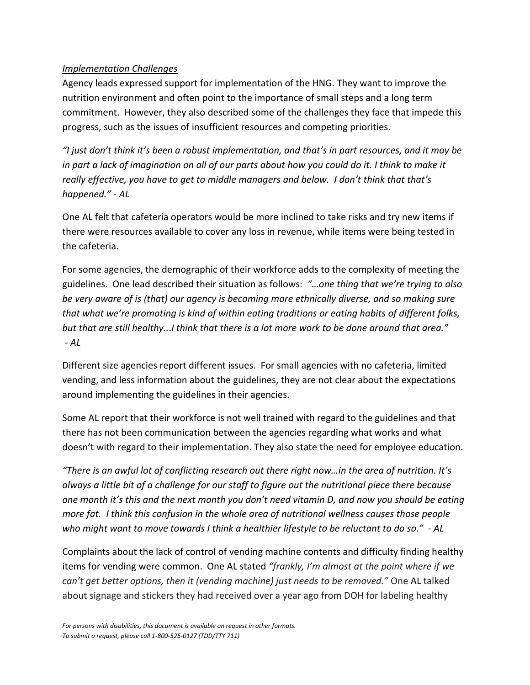#### *Implementation Challenges*

Agency leads expressed support for implementation of the HNG. They want to improve the nutrition environment and often point to the importance of small steps and a long term commitment. However, they also described some of the challenges they face that impede this progress, such as the issues of insufficient resources and competing priorities.

*"I just don't think it's been a robust implementation, and that's in part resources, and it may be in part a lack of imagination on all of our parts about how you could do it. I think to make it really effective, you have to get to middle managers and below. I don't think that that's happened." - AL*

One AL felt that cafeteria operators would be more inclined to take risks and try new items if there were resources available to cover any loss in revenue, while items were being tested in the cafeteria.

For some agencies, the demographic of their workforce adds to the complexity of meeting the guidelines. One lead described their situation as follows: *"…one thing that we're trying to also be very aware of is (that) our agency is becoming more ethnically diverse, and so making sure that what we're promoting is kind of within eating traditions or eating habits of different folks, but that are still healthy..*.*I think that there is a lot more work to be done around that area." - AL*

Different size agencies report different issues. For small agencies with no cafeteria, limited vending, and less information about the guidelines, they are not clear about the expectations around implementing the guidelines in their agencies.

Some AL report that their workforce is not well trained with regard to the guidelines and that there has not been communication between the agencies regarding what works and what doesn't with regard to their implementation. They also state the need for employee education.

*"There is an awful lot of conflicting research out there right now…in the area of nutrition. It's always a little bit of a challenge for our staff to figure out the nutritional piece there because one month it's this and the next month you don't need vitamin D, and now you should be eating more fat. I think this confusion in the whole area of nutritional wellness causes those people who might want to move towards I think a healthier lifestyle to be reluctant to do so." - AL*

Complaints about the lack of control of vending machine contents and difficulty finding healthy items for vending were common. One AL stated *"frankly, I'm almost at the point where if we can't get better options, then it (vending machine) just needs to be removed."* One AL talked about signage and stickers they had received over a year ago from DOH for labeling healthy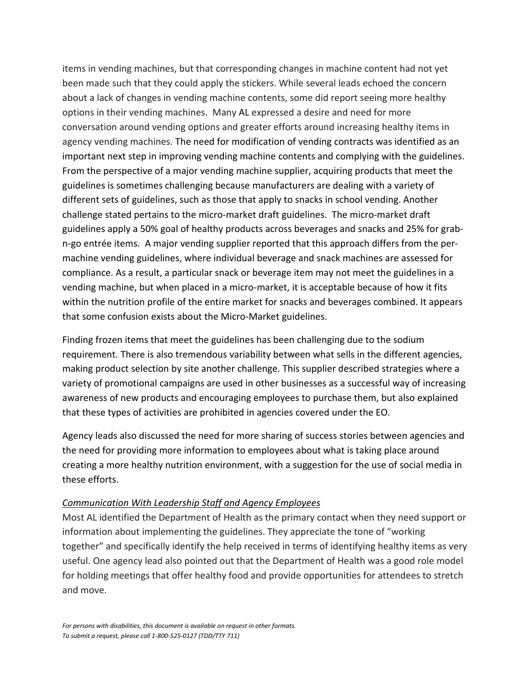items in vending machines, but that corresponding changes in machine content had not yet been made such that they could apply the stickers. While several leads echoed the concern about a lack of changes in vending machine contents, some did report seeing more healthy options in their vending machines. Many AL expressed a desire and need for more conversation around vending options and greater efforts around increasing healthy items in agency vending machines. The need for modification of vending contracts was identified as an important next step in improving vending machine contents and complying with the guidelines. From the perspective of a major vending machine supplier, acquiring products that meet the guidelines is sometimes challenging because manufacturers are dealing with a variety of different sets of guidelines, such as those that apply to snacks in school vending. Another challenge stated pertains to the micro-market draft guidelines. The micro-market draft guidelines apply a 50% goal of healthy products across beverages and snacks and 25% for grabn-go entrée items. A major vending supplier reported that this approach differs from the permachine vending guidelines, where individual beverage and snack machines are assessed for compliance. As a result, a particular snack or beverage item may not meet the guidelines in a vending machine, but when placed in a micro-market, it is acceptable because of how it fits within the nutrition profile of the entire market for snacks and beverages combined. It appears that some confusion exists about the Micro-Market guidelines.

Finding frozen items that meet the guidelines has been challenging due to the sodium requirement. There is also tremendous variability between what sells in the different agencies, making product selection by site another challenge. This supplier described strategies where a variety of promotional campaigns are used in other businesses as a successful way of increasing awareness of new products and encouraging employees to purchase them, but also explained that these types of activities are prohibited in agencies covered under the EO.

Agency leads also discussed the need for more sharing of success stories between agencies and the need for providing more information to employees about what is taking place around creating a more healthy nutrition environment, with a suggestion for the use of social media in these efforts.

#### *Communication With Leadership Staff and Agency Employees*

Most AL identified the Department of Health as the primary contact when they need support or information about implementing the guidelines. They appreciate the tone of "working together" and specifically identify the help received in terms of identifying healthy items as very useful. One agency lead also pointed out that the Department of Health was a good role model for holding meetings that offer healthy food and provide opportunities for attendees to stretch and move.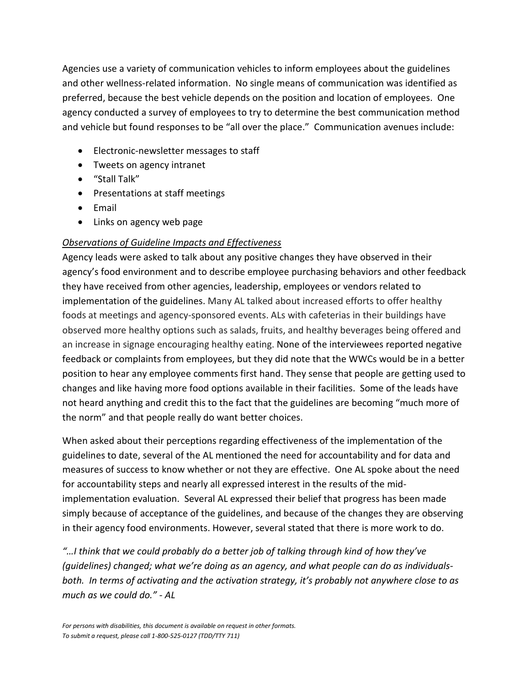Agencies use a variety of communication vehicles to inform employees about the guidelines and other wellness-related information. No single means of communication was identified as preferred, because the best vehicle depends on the position and location of employees. One agency conducted a survey of employees to try to determine the best communication method and vehicle but found responses to be "all over the place." Communication avenues include:

- Electronic-newsletter messages to staff
- Tweets on agency intranet
- "Stall Talk"
- Presentations at staff meetings
- Email
- Links on agency web page

#### *Observations of Guideline Impacts and Effectiveness*

Agency leads were asked to talk about any positive changes they have observed in their agency's food environment and to describe employee purchasing behaviors and other feedback they have received from other agencies, leadership, employees or vendors related to implementation of the guidelines. Many AL talked about increased efforts to offer healthy foods at meetings and agency-sponsored events. ALs with cafeterias in their buildings have observed more healthy options such as salads, fruits, and healthy beverages being offered and an increase in signage encouraging healthy eating. None of the interviewees reported negative feedback or complaints from employees, but they did note that the WWCs would be in a better position to hear any employee comments first hand. They sense that people are getting used to changes and like having more food options available in their facilities. Some of the leads have not heard anything and credit this to the fact that the guidelines are becoming "much more of the norm" and that people really do want better choices.

When asked about their perceptions regarding effectiveness of the implementation of the guidelines to date, several of the AL mentioned the need for accountability and for data and measures of success to know whether or not they are effective. One AL spoke about the need for accountability steps and nearly all expressed interest in the results of the midimplementation evaluation. Several AL expressed their belief that progress has been made simply because of acceptance of the guidelines, and because of the changes they are observing in their agency food environments. However, several stated that there is more work to do.

*"…I think that we could probably do a better job of talking through kind of how they've (guidelines) changed; what we're doing as an agency, and what people can do as individualsboth. In terms of activating and the activation strategy, it's probably not anywhere close to as much as we could do." - AL*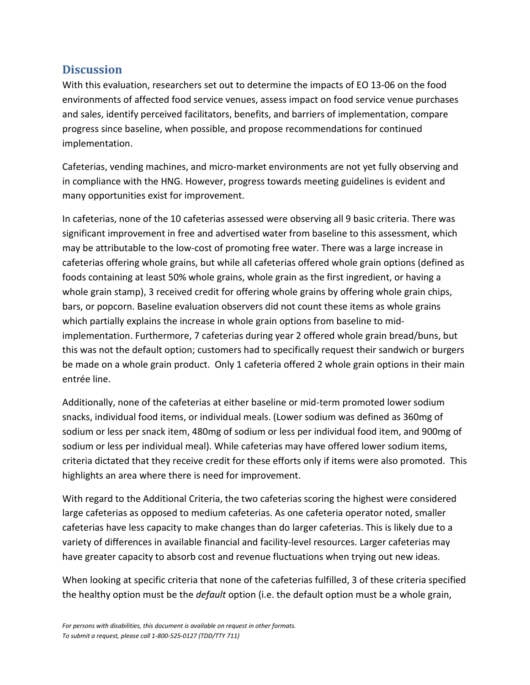## <span id="page-48-0"></span>**Discussion**

With this evaluation, researchers set out to determine the impacts of EO 13-06 on the food environments of affected food service venues, assess impact on food service venue purchases and sales, identify perceived facilitators, benefits, and barriers of implementation, compare progress since baseline, when possible, and propose recommendations for continued implementation.

Cafeterias, vending machines, and micro-market environments are not yet fully observing and in compliance with the HNG. However, progress towards meeting guidelines is evident and many opportunities exist for improvement.

In cafeterias, none of the 10 cafeterias assessed were observing all 9 basic criteria. There was significant improvement in free and advertised water from baseline to this assessment, which may be attributable to the low-cost of promoting free water. There was a large increase in cafeterias offering whole grains, but while all cafeterias offered whole grain options (defined as foods containing at least 50% whole grains, whole grain as the first ingredient, or having a whole grain stamp), 3 received credit for offering whole grains by offering whole grain chips, bars, or popcorn. Baseline evaluation observers did not count these items as whole grains which partially explains the increase in whole grain options from baseline to midimplementation. Furthermore, 7 cafeterias during year 2 offered whole grain bread/buns, but this was not the default option; customers had to specifically request their sandwich or burgers be made on a whole grain product. Only 1 cafeteria offered 2 whole grain options in their main entrée line.

Additionally, none of the cafeterias at either baseline or mid-term promoted lower sodium snacks, individual food items, or individual meals. (Lower sodium was defined as 360mg of sodium or less per snack item, 480mg of sodium or less per individual food item, and 900mg of sodium or less per individual meal). While cafeterias may have offered lower sodium items, criteria dictated that they receive credit for these efforts only if items were also promoted. This highlights an area where there is need for improvement.

With regard to the Additional Criteria, the two cafeterias scoring the highest were considered large cafeterias as opposed to medium cafeterias. As one cafeteria operator noted, smaller cafeterias have less capacity to make changes than do larger cafeterias. This is likely due to a variety of differences in available financial and facility-level resources. Larger cafeterias may have greater capacity to absorb cost and revenue fluctuations when trying out new ideas.

When looking at specific criteria that none of the cafeterias fulfilled, 3 of these criteria specified the healthy option must be the *default* option (i.e. the default option must be a whole grain,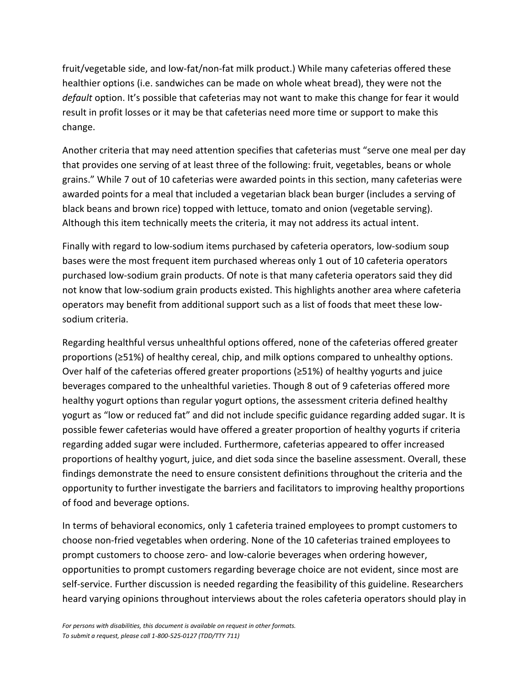fruit/vegetable side, and low-fat/non-fat milk product.) While many cafeterias offered these healthier options (i.e. sandwiches can be made on whole wheat bread), they were not the *default* option. It's possible that cafeterias may not want to make this change for fear it would result in profit losses or it may be that cafeterias need more time or support to make this change.

Another criteria that may need attention specifies that cafeterias must "serve one meal per day that provides one serving of at least three of the following: fruit, vegetables, beans or whole grains." While 7 out of 10 cafeterias were awarded points in this section, many cafeterias were awarded points for a meal that included a vegetarian black bean burger (includes a serving of black beans and brown rice) topped with lettuce, tomato and onion (vegetable serving). Although this item technically meets the criteria, it may not address its actual intent.

Finally with regard to low-sodium items purchased by cafeteria operators, low-sodium soup bases were the most frequent item purchased whereas only 1 out of 10 cafeteria operators purchased low-sodium grain products. Of note is that many cafeteria operators said they did not know that low-sodium grain products existed. This highlights another area where cafeteria operators may benefit from additional support such as a list of foods that meet these lowsodium criteria.

Regarding healthful versus unhealthful options offered, none of the cafeterias offered greater proportions (≥51%) of healthy cereal, chip, and milk options compared to unhealthy options. Over half of the cafeterias offered greater proportions (≥51%) of healthy yogurts and juice beverages compared to the unhealthful varieties. Though 8 out of 9 cafeterias offered more healthy yogurt options than regular yogurt options, the assessment criteria defined healthy yogurt as "low or reduced fat" and did not include specific guidance regarding added sugar. It is possible fewer cafeterias would have offered a greater proportion of healthy yogurts if criteria regarding added sugar were included. Furthermore, cafeterias appeared to offer increased proportions of healthy yogurt, juice, and diet soda since the baseline assessment. Overall, these findings demonstrate the need to ensure consistent definitions throughout the criteria and the opportunity to further investigate the barriers and facilitators to improving healthy proportions of food and beverage options.

In terms of behavioral economics, only 1 cafeteria trained employees to prompt customers to choose non-fried vegetables when ordering. None of the 10 cafeterias trained employees to prompt customers to choose zero- and low-calorie beverages when ordering however, opportunities to prompt customers regarding beverage choice are not evident, since most are self-service. Further discussion is needed regarding the feasibility of this guideline. Researchers heard varying opinions throughout interviews about the roles cafeteria operators should play in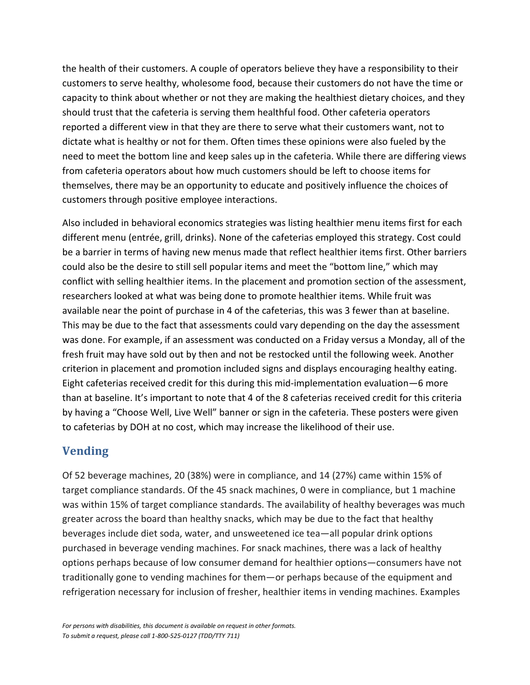the health of their customers. A couple of operators believe they have a responsibility to their customers to serve healthy, wholesome food, because their customers do not have the time or capacity to think about whether or not they are making the healthiest dietary choices, and they should trust that the cafeteria is serving them healthful food. Other cafeteria operators reported a different view in that they are there to serve what their customers want, not to dictate what is healthy or not for them. Often times these opinions were also fueled by the need to meet the bottom line and keep sales up in the cafeteria. While there are differing views from cafeteria operators about how much customers should be left to choose items for themselves, there may be an opportunity to educate and positively influence the choices of customers through positive employee interactions.

Also included in behavioral economics strategies was listing healthier menu items first for each different menu (entrée, grill, drinks). None of the cafeterias employed this strategy. Cost could be a barrier in terms of having new menus made that reflect healthier items first. Other barriers could also be the desire to still sell popular items and meet the "bottom line," which may conflict with selling healthier items. In the placement and promotion section of the assessment, researchers looked at what was being done to promote healthier items. While fruit was available near the point of purchase in 4 of the cafeterias, this was 3 fewer than at baseline. This may be due to the fact that assessments could vary depending on the day the assessment was done. For example, if an assessment was conducted on a Friday versus a Monday, all of the fresh fruit may have sold out by then and not be restocked until the following week. Another criterion in placement and promotion included signs and displays encouraging healthy eating. Eight cafeterias received credit for this during this mid-implementation evaluation—6 more than at baseline. It's important to note that 4 of the 8 cafeterias received credit for this criteria by having a "Choose Well, Live Well" banner or sign in the cafeteria. These posters were given to cafeterias by DOH at no cost, which may increase the likelihood of their use.

## **Vending**

Of 52 beverage machines, 20 (38%) were in compliance, and 14 (27%) came within 15% of target compliance standards. Of the 45 snack machines, 0 were in compliance, but 1 machine was within 15% of target compliance standards. The availability of healthy beverages was much greater across the board than healthy snacks, which may be due to the fact that healthy beverages include diet soda, water, and unsweetened ice tea—all popular drink options purchased in beverage vending machines. For snack machines, there was a lack of healthy options perhaps because of low consumer demand for healthier options—consumers have not traditionally gone to vending machines for them—or perhaps because of the equipment and refrigeration necessary for inclusion of fresher, healthier items in vending machines. Examples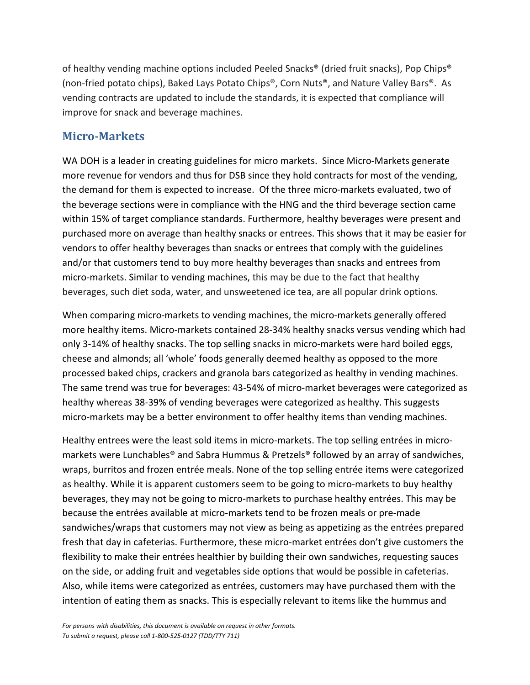of healthy vending machine options included Peeled Snacks® (dried fruit snacks), Pop Chips® (non-fried potato chips), Baked Lays Potato Chips®, Corn Nuts®, and Nature Valley Bars®. As vending contracts are updated to include the standards, it is expected that compliance will improve for snack and beverage machines.

## **Micro-Markets**

WA DOH is a leader in creating guidelines for micro markets. Since Micro-Markets generate more revenue for vendors and thus for DSB since they hold contracts for most of the vending, the demand for them is expected to increase. Of the three micro-markets evaluated, two of the beverage sections were in compliance with the HNG and the third beverage section came within 15% of target compliance standards. Furthermore, healthy beverages were present and purchased more on average than healthy snacks or entrees. This shows that it may be easier for vendors to offer healthy beverages than snacks or entrees that comply with the guidelines and/or that customers tend to buy more healthy beverages than snacks and entrees from micro-markets. Similar to vending machines, this may be due to the fact that healthy beverages, such diet soda, water, and unsweetened ice tea, are all popular drink options.

When comparing micro-markets to vending machines, the micro-markets generally offered more healthy items. Micro-markets contained 28-34% healthy snacks versus vending which had only 3-14% of healthy snacks. The top selling snacks in micro-markets were hard boiled eggs, cheese and almonds; all 'whole' foods generally deemed healthy as opposed to the more processed baked chips, crackers and granola bars categorized as healthy in vending machines. The same trend was true for beverages: 43-54% of micro-market beverages were categorized as healthy whereas 38-39% of vending beverages were categorized as healthy. This suggests micro-markets may be a better environment to offer healthy items than vending machines.

Healthy entrees were the least sold items in micro-markets. The top selling entrées in micromarkets were Lunchables® and Sabra Hummus & Pretzels® followed by an array of sandwiches, wraps, burritos and frozen entrée meals. None of the top selling entrée items were categorized as healthy. While it is apparent customers seem to be going to micro-markets to buy healthy beverages, they may not be going to micro-markets to purchase healthy entrées. This may be because the entrées available at micro-markets tend to be frozen meals or pre-made sandwiches/wraps that customers may not view as being as appetizing as the entrées prepared fresh that day in cafeterias. Furthermore, these micro-market entrées don't give customers the flexibility to make their entrées healthier by building their own sandwiches, requesting sauces on the side, or adding fruit and vegetables side options that would be possible in cafeterias. Also, while items were categorized as entrées, customers may have purchased them with the intention of eating them as snacks. This is especially relevant to items like the hummus and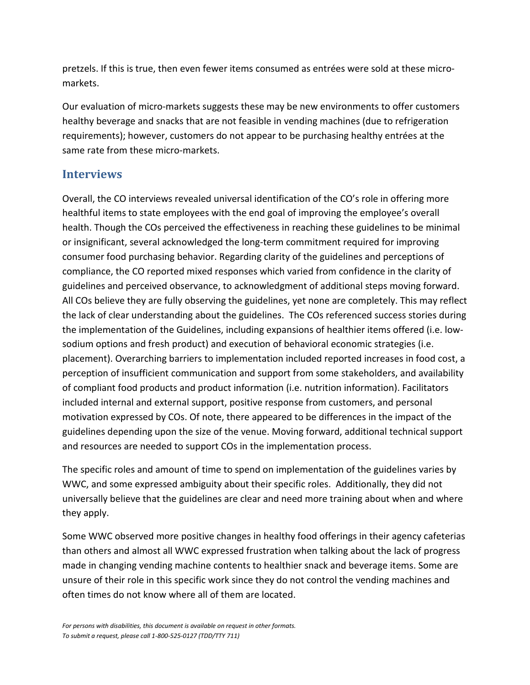pretzels. If this is true, then even fewer items consumed as entrées were sold at these micromarkets.

Our evaluation of micro-markets suggests these may be new environments to offer customers healthy beverage and snacks that are not feasible in vending machines (due to refrigeration requirements); however, customers do not appear to be purchasing healthy entrées at the same rate from these micro-markets.

## **Interviews**

Overall, the CO interviews revealed universal identification of the CO's role in offering more healthful items to state employees with the end goal of improving the employee's overall health. Though the COs perceived the effectiveness in reaching these guidelines to be minimal or insignificant, several acknowledged the long-term commitment required for improving consumer food purchasing behavior. Regarding clarity of the guidelines and perceptions of compliance, the CO reported mixed responses which varied from confidence in the clarity of guidelines and perceived observance, to acknowledgment of additional steps moving forward. All COs believe they are fully observing the guidelines, yet none are completely. This may reflect the lack of clear understanding about the guidelines. The COs referenced success stories during the implementation of the Guidelines, including expansions of healthier items offered (i.e. lowsodium options and fresh product) and execution of behavioral economic strategies (i.e. placement). Overarching barriers to implementation included reported increases in food cost, a perception of insufficient communication and support from some stakeholders, and availability of compliant food products and product information (i.e. nutrition information). Facilitators included internal and external support, positive response from customers, and personal motivation expressed by COs. Of note, there appeared to be differences in the impact of the guidelines depending upon the size of the venue. Moving forward, additional technical support and resources are needed to support COs in the implementation process.

The specific roles and amount of time to spend on implementation of the guidelines varies by WWC, and some expressed ambiguity about their specific roles. Additionally, they did not universally believe that the guidelines are clear and need more training about when and where they apply.

Some WWC observed more positive changes in healthy food offerings in their agency cafeterias than others and almost all WWC expressed frustration when talking about the lack of progress made in changing vending machine contents to healthier snack and beverage items. Some are unsure of their role in this specific work since they do not control the vending machines and often times do not know where all of them are located.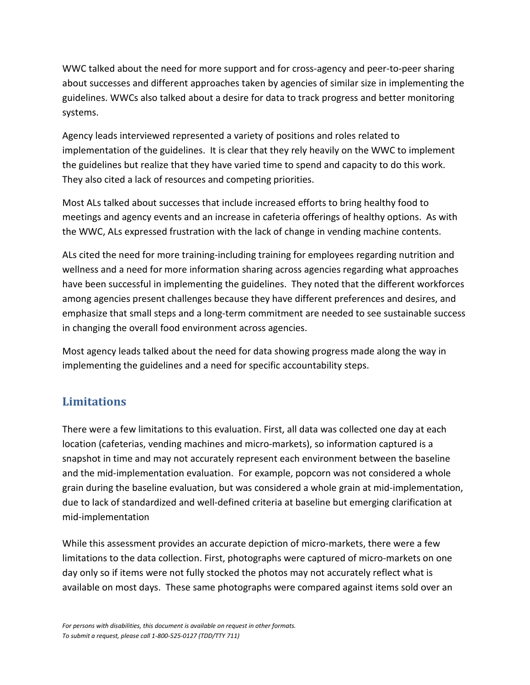WWC talked about the need for more support and for cross-agency and peer-to-peer sharing about successes and different approaches taken by agencies of similar size in implementing the guidelines. WWCs also talked about a desire for data to track progress and better monitoring systems.

Agency leads interviewed represented a variety of positions and roles related to implementation of the guidelines. It is clear that they rely heavily on the WWC to implement the guidelines but realize that they have varied time to spend and capacity to do this work. They also cited a lack of resources and competing priorities.

Most ALs talked about successes that include increased efforts to bring healthy food to meetings and agency events and an increase in cafeteria offerings of healthy options. As with the WWC, ALs expressed frustration with the lack of change in vending machine contents.

ALs cited the need for more training-including training for employees regarding nutrition and wellness and a need for more information sharing across agencies regarding what approaches have been successful in implementing the guidelines. They noted that the different workforces among agencies present challenges because they have different preferences and desires, and emphasize that small steps and a long-term commitment are needed to see sustainable success in changing the overall food environment across agencies.

Most agency leads talked about the need for data showing progress made along the way in implementing the guidelines and a need for specific accountability steps.

## <span id="page-53-0"></span>**Limitations**

There were a few limitations to this evaluation. First, all data was collected one day at each location (cafeterias, vending machines and micro-markets), so information captured is a snapshot in time and may not accurately represent each environment between the baseline and the mid-implementation evaluation. For example, popcorn was not considered a whole grain during the baseline evaluation, but was considered a whole grain at mid-implementation, due to lack of standardized and well-defined criteria at baseline but emerging clarification at mid-implementation

While this assessment provides an accurate depiction of micro-markets, there were a few limitations to the data collection. First, photographs were captured of micro-markets on one day only so if items were not fully stocked the photos may not accurately reflect what is available on most days. These same photographs were compared against items sold over an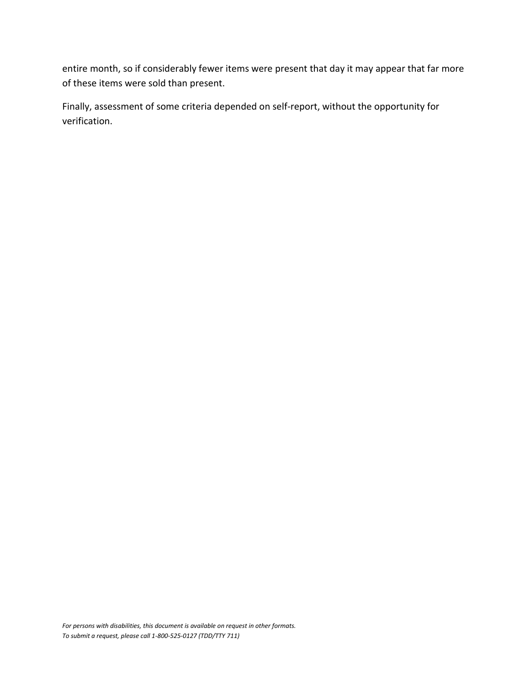entire month, so if considerably fewer items were present that day it may appear that far more of these items were sold than present.

Finally, assessment of some criteria depended on self-report, without the opportunity for verification.

*For persons with disabilities, this document is available on request in other formats. To submit a request, please call 1-800-525-0127 (TDD/TTY 711)*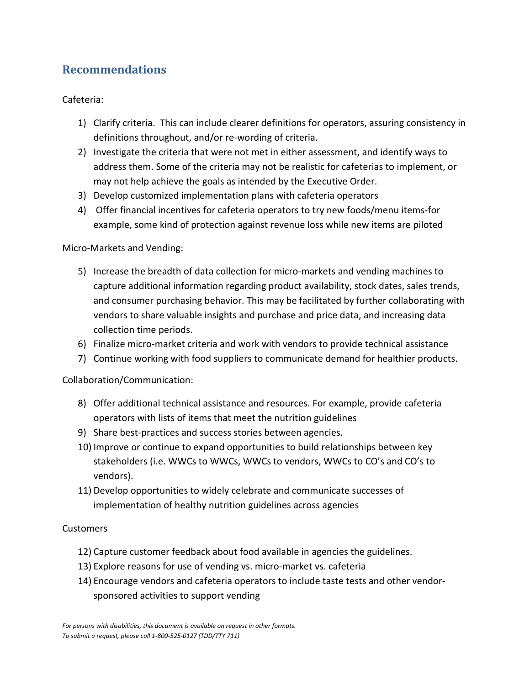## <span id="page-55-0"></span>**Recommendations**

Cafeteria:

- 1) Clarify criteria. This can include clearer definitions for operators, assuring consistency in definitions throughout, and/or re-wording of criteria.
- 2) Investigate the criteria that were not met in either assessment, and identify ways to address them. Some of the criteria may not be realistic for cafeterias to implement, or may not help achieve the goals as intended by the Executive Order.
- 3) Develop customized implementation plans with cafeteria operators
- 4) Offer financial incentives for cafeteria operators to try new foods/menu items-for example, some kind of protection against revenue loss while new items are piloted

#### Micro-Markets and Vending:

- 5) Increase the breadth of data collection for micro-markets and vending machines to capture additional information regarding product availability, stock dates, sales trends, and consumer purchasing behavior. This may be facilitated by further collaborating with vendors to share valuable insights and purchase and price data, and increasing data collection time periods.
- 6) Finalize micro-market criteria and work with vendors to provide technical assistance
- 7) Continue working with food suppliers to communicate demand for healthier products.

#### Collaboration/Communication:

- 8) Offer additional technical assistance and resources. For example, provide cafeteria operators with lists of items that meet the nutrition guidelines
- 9) Share best-practices and success stories between agencies.
- 10) Improve or continue to expand opportunities to build relationships between key stakeholders (i.e. WWCs to WWCs, WWCs to vendors, WWCs to CO's and CO's to vendors).
- 11) Develop opportunities to widely celebrate and communicate successes of implementation of healthy nutrition guidelines across agencies

#### Customers

- 12) Capture customer feedback about food available in agencies the guidelines.
- 13) Explore reasons for use of vending vs. micro-market vs. cafeteria
- 14) Encourage vendors and cafeteria operators to include taste tests and other vendorsponsored activities to support vending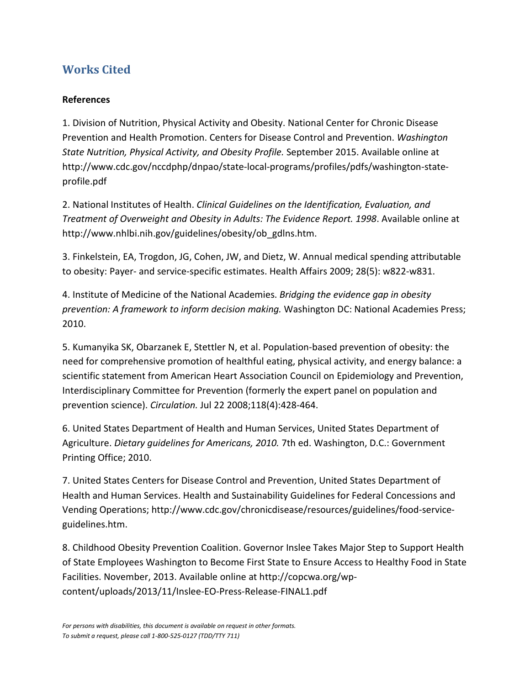## <span id="page-56-0"></span>**Works Cited**

#### **References**

1. Division of Nutrition, Physical Activity and Obesity. National Center for Chronic Disease Prevention and Health Promotion. Centers for Disease Control and Prevention. *Washington State Nutrition, Physical Activity, and Obesity Profile.* September 2015. Available online at http://www.cdc.gov/nccdphp/dnpao/state-local-programs/profiles/pdfs/washington-stateprofile.pdf

2. National Institutes of Health. *Clinical Guidelines on the Identification, Evaluation, and Treatment of Overweight and Obesity in Adults: The Evidence Report. 1998*. Available online at http://www.nhlbi.nih.gov/guidelines/obesity/ob\_gdlns.htm.

3. Finkelstein, EA, Trogdon, JG, Cohen, JW, and Dietz, W. Annual medical spending attributable to obesity: Payer- and service-specific estimates. Health Affairs 2009; 28(5): w822-w831.

4. Institute of Medicine of the National Academies. *Bridging the evidence gap in obesity prevention: A framework to inform decision making.* Washington DC: National Academies Press; 2010.

5. Kumanyika SK, Obarzanek E, Stettler N, et al. Population-based prevention of obesity: the need for comprehensive promotion of healthful eating, physical activity, and energy balance: a scientific statement from American Heart Association Council on Epidemiology and Prevention, Interdisciplinary Committee for Prevention (formerly the expert panel on population and prevention science). *Circulation.* Jul 22 2008;118(4):428-464.

6. United States Department of Health and Human Services, United States Department of Agriculture. *Dietary guidelines for Americans, 2010.* 7th ed. Washington, D.C.: Government Printing Office; 2010.

7. United States Centers for Disease Control and Prevention, United States Department of Health and Human Services. Health and Sustainability Guidelines for Federal Concessions and Vending Operations; http://www.cdc.gov/chronicdisease/resources/guidelines/food-serviceguidelines.htm.

8. Childhood Obesity Prevention Coalition. Governor Inslee Takes Major Step to Support Health of State Employees Washington to Become First State to Ensure Access to Healthy Food in State Facilities. November, 2013. Available online at http://copcwa.org/wpcontent/uploads/2013/11/Inslee-EO-Press-Release-FINAL1.pdf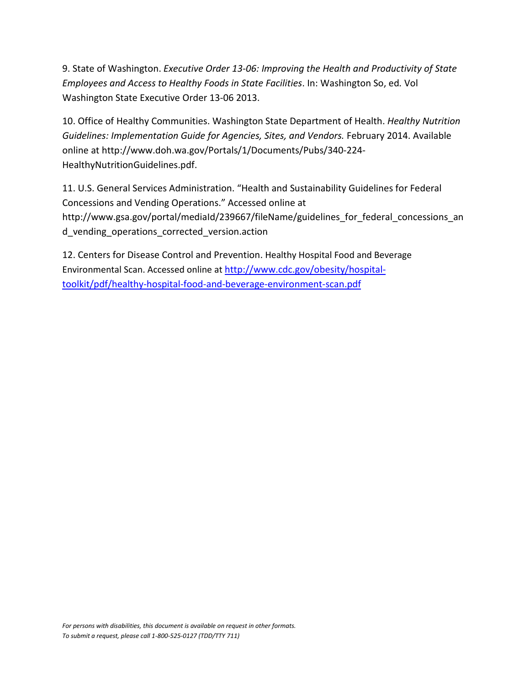9. State of Washington. *Executive Order 13-06: Improving the Health and Productivity of State Employees and Access to Healthy Foods in State Facilities*. In: Washington So, ed*.* Vol Washington State Executive Order 13-06 2013.

10. Office of Healthy Communities. Washington State Department of Health. *Healthy Nutrition Guidelines: Implementation Guide for Agencies, Sites, and Vendors.* February 2014. Available online at http://www.doh.wa.gov/Portals/1/Documents/Pubs/340-224- HealthyNutritionGuidelines.pdf.

11. U.S. General Services Administration. "Health and Sustainability Guidelines for Federal Concessions and Vending Operations." Accessed online at http://www.gsa.gov/portal/mediaId/239667/fileName/guidelines for federal concessions an d\_vending\_operations\_corrected\_version.action

12. Centers for Disease Control and Prevention. Healthy Hospital Food and Beverage Environmental Scan. Accessed online at [http://www.cdc.gov/obesity/hospital](http://www.cdc.gov/obesity/hospital-toolkit/pdf/healthy-hospital-food-and-beverage-environment-scan.pdf)[toolkit/pdf/healthy-hospital-food-and-beverage-environment-scan.pdf](http://www.cdc.gov/obesity/hospital-toolkit/pdf/healthy-hospital-food-and-beverage-environment-scan.pdf)